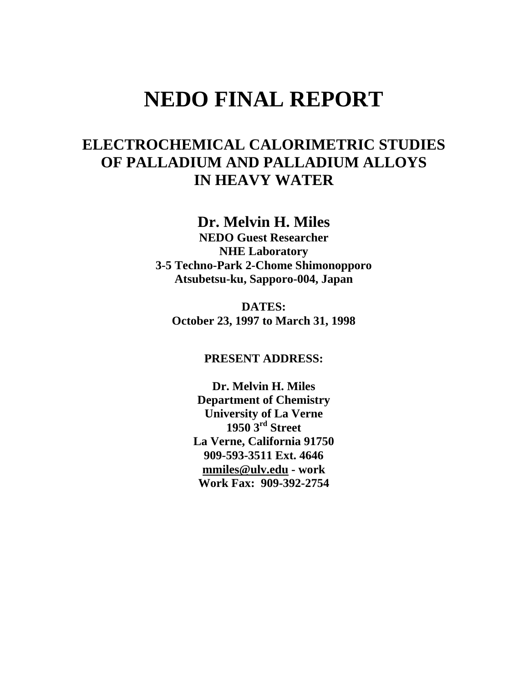# **NEDO FINAL REPORT**

## **ELECTROCHEMICAL CALORIMETRIC STUDIES OF PALLADIUM AND PALLADIUM ALLOYS IN HEAVY WATER**

**Dr. Melvin H. Miles** 

**NEDO Guest Researcher NHE Laboratory 3-5 Techno-Park 2-Chome Shimonopporo Atsubetsu-ku, Sapporo-004, Japan** 

**DATES: October 23, 1997 to March 31, 1998** 

**PRESENT ADDRESS:** 

**Dr. Melvin H. Miles Department of Chemistry University of La Verne 1950 3rd Street La Verne, California 91750 909-593-3511 Ext. 4646 [mmiles@ulv.edu](mailto:mmiles@ulv.edu) - work Work Fax: 909-392-2754**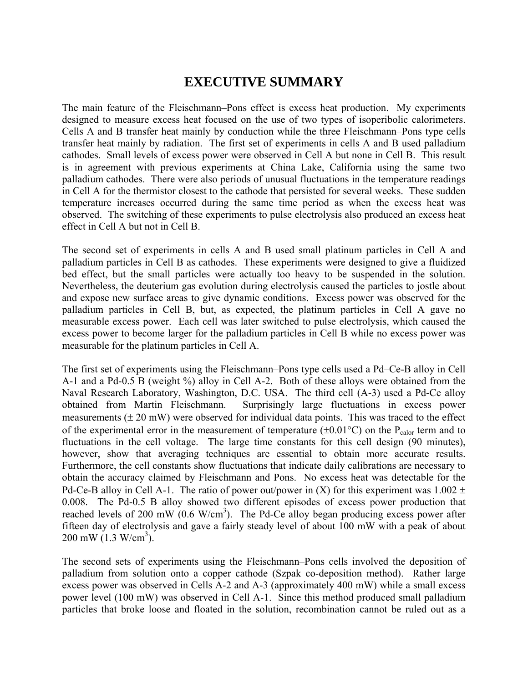## **EXECUTIVE SUMMARY**

<span id="page-1-0"></span>The main feature of the Fleischmann–Pons effect is excess heat production. My experiments designed to measure excess heat focused on the use of two types of isoperibolic calorimeters. Cells A and B transfer heat mainly by conduction while the three Fleischmann–Pons type cells transfer heat mainly by radiation. The first set of experiments in cells A and B used palladium cathodes. Small levels of excess power were observed in Cell A but none in Cell B. This result is in agreement with previous experiments at China Lake, California using the same two palladium cathodes. There were also periods of unusual fluctuations in the temperature readings in Cell A for the thermistor closest to the cathode that persisted for several weeks. These sudden temperature increases occurred during the same time period as when the excess heat was observed. The switching of these experiments to pulse electrolysis also produced an excess heat effect in Cell A but not in Cell B.

The second set of experiments in cells A and B used small platinum particles in Cell A and palladium particles in Cell B as cathodes. These experiments were designed to give a fluidized bed effect, but the small particles were actually too heavy to be suspended in the solution. Nevertheless, the deuterium gas evolution during electrolysis caused the particles to jostle about and expose new surface areas to give dynamic conditions. Excess power was observed for the palladium particles in Cell B, but, as expected, the platinum particles in Cell A gave no measurable excess power. Each cell was later switched to pulse electrolysis, which caused the excess power to become larger for the palladium particles in Cell B while no excess power was measurable for the platinum particles in Cell A.

The first set of experiments using the Fleischmann–Pons type cells used a Pd–Ce-B alloy in Cell A-1 and a Pd-0.5 B (weight %) alloy in Cell A-2. Both of these alloys were obtained from the Naval Research Laboratory, Washington, D.C. USA. The third cell (A-3) used a Pd-Ce alloy obtained from Martin Fleischmann. Surprisingly large fluctuations in excess power measurements  $(\pm 20 \text{ mW})$  were observed for individual data points. This was traced to the effect of the experimental error in the measurement of temperature ( $\pm 0.01^{\circ}$ C) on the P<sub>calor</sub> term and to fluctuations in the cell voltage. The large time constants for this cell design (90 minutes), however, show that averaging techniques are essential to obtain more accurate results. Furthermore, the cell constants show fluctuations that indicate daily calibrations are necessary to obtain the accuracy claimed by Fleischmann and Pons. No excess heat was detectable for the Pd-Ce-B alloy in Cell A-1. The ratio of power out/power in (X) for this experiment was  $1.002 \pm$ 0.008. The Pd-0.5 B alloy showed two different episodes of excess power production that reached levels of 200 mW  $(0.6 \text{ W/cm}^3)$ . The Pd-Ce alloy began producing excess power after fifteen day of electrolysis and gave a fairly steady level of about 100 mW with a peak of about  $200 \text{ mW} (1.3 \text{ W/cm}^3)$ .

The second sets of experiments using the Fleischmann–Pons cells involved the deposition of palladium from solution onto a copper cathode (Szpak co-deposition method). Rather large excess power was observed in Cells A-2 and A-3 (approximately 400 mW) while a small excess power level (100 mW) was observed in Cell A-1. Since this method produced small palladium particles that broke loose and floated in the solution, recombination cannot be ruled out as a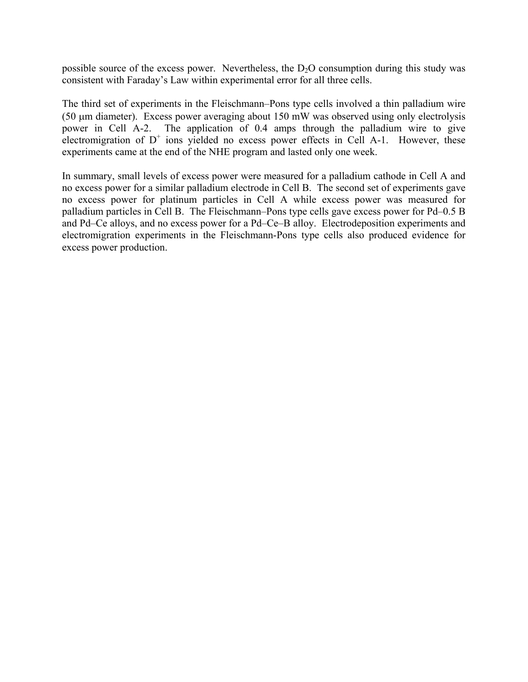possible source of the excess power. Nevertheless, the  $D_2O$  consumption during this study was consistent with Faraday's Law within experimental error for all three cells.

The third set of experiments in the Fleischmann–Pons type cells involved a thin palladium wire (50 µm diameter). Excess power averaging about 150 mW was observed using only electrolysis power in Cell A-2. The application of 0.4 amps through the palladium wire to give electromigration of  $D^+$  ions yielded no excess power effects in Cell A-1. However, these experiments came at the end of the NHE program and lasted only one week.

In summary, small levels of excess power were measured for a palladium cathode in Cell A and no excess power for a similar palladium electrode in Cell B. The second set of experiments gave no excess power for platinum particles in Cell A while excess power was measured for palladium particles in Cell B. The Fleischmann–Pons type cells gave excess power for Pd–0.5 B and Pd–Ce alloys, and no excess power for a Pd–Ce–B alloy. Electrodeposition experiments and electromigration experiments in the Fleischmann-Pons type cells also produced evidence for excess power production.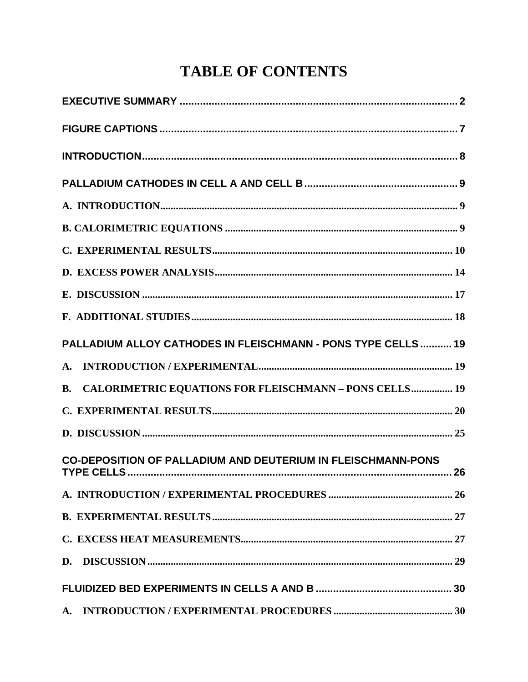# **TABLE OF CONTENTS**

| PALLADIUM ALLOY CATHODES IN FLEISCHMANN - PONS TYPE CELLS  19       |  |
|---------------------------------------------------------------------|--|
|                                                                     |  |
| <b>B. CALORIMETRIC EQUATIONS FOR FLEISCHMANN - PONS CELLS 19</b>    |  |
|                                                                     |  |
|                                                                     |  |
| <b>CO-DEPOSITION OF PALLADIUM AND DEUTERIUM IN FLEISCHMANN-PONS</b> |  |
|                                                                     |  |
|                                                                     |  |
|                                                                     |  |
|                                                                     |  |
|                                                                     |  |
|                                                                     |  |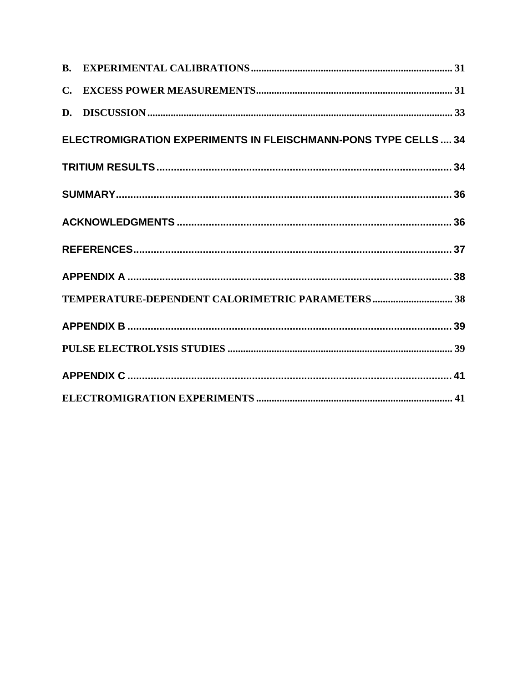| ELECTROMIGRATION EXPERIMENTS IN FLEISCHMANN-PONS TYPE CELLS 34 |  |
|----------------------------------------------------------------|--|
|                                                                |  |
|                                                                |  |
|                                                                |  |
|                                                                |  |
|                                                                |  |
|                                                                |  |
|                                                                |  |
|                                                                |  |
|                                                                |  |
|                                                                |  |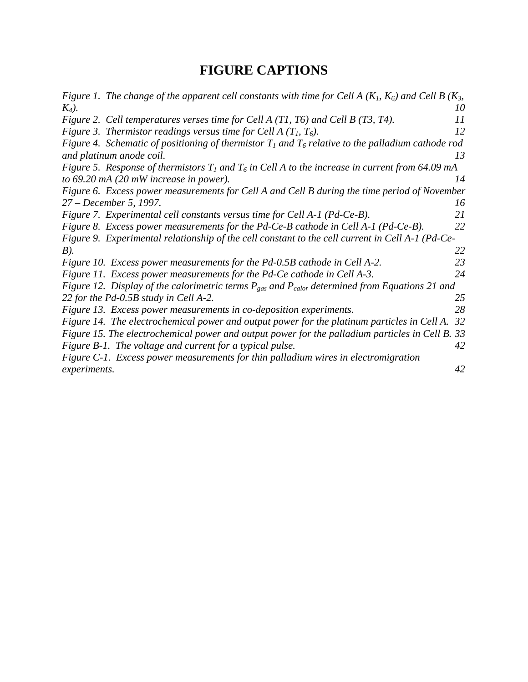## **FIGURE CAPTIONS**

<span id="page-6-0"></span>

|              | Figure 1. The change of the apparent cell constants with time for Cell A ( $K_1$ , $K_6$ ) and Cell B ( $K_3$ , |    |
|--------------|-----------------------------------------------------------------------------------------------------------------|----|
| $K_4$ ).     |                                                                                                                 | 10 |
|              | Figure 2. Cell temperatures verses time for Cell A $(T1, T6)$ and Cell B $(T3, T4)$ .                           | 11 |
|              | Figure 3. Thermistor readings versus time for Cell A $(T_1, T_6)$ .                                             | 12 |
|              | Figure 4. Schematic of positioning of thermistor $T_1$ and $T_6$ relative to the palladium cathode rod          |    |
|              | and platinum anode coil.                                                                                        | 13 |
|              | Figure 5. Response of thermistors $T_1$ and $T_6$ in Cell A to the increase in current from 64.09 mA            |    |
|              | to 69.20 mA (20 mW increase in power).                                                                          | 14 |
|              | Figure 6. Excess power measurements for Cell A and Cell B during the time period of November                    |    |
|              | 27 – December 5, 1997.                                                                                          | 16 |
|              | Figure 7. Experimental cell constants versus time for Cell A-1 (Pd-Ce-B).                                       | 21 |
|              | Figure 8. Excess power measurements for the Pd-Ce-B cathode in Cell A-1 (Pd-Ce-B).                              | 22 |
|              | Figure 9. Experimental relationship of the cell constant to the cell current in Cell A-1 (Pd-Ce-                |    |
| B).          |                                                                                                                 | 22 |
|              | Figure 10. Excess power measurements for the Pd-0.5B cathode in Cell A-2.                                       | 23 |
|              | Figure 11. Excess power measurements for the Pd-Ce cathode in Cell A-3.                                         | 24 |
|              | Figure 12. Display of the calorimetric terms $P_{gas}$ and $P_{calor}$ determined from Equations 21 and         |    |
|              | 22 for the Pd-0.5B study in Cell A-2.                                                                           | 25 |
|              | Figure 13. Excess power measurements in co-deposition experiments.                                              | 28 |
|              | Figure 14. The electrochemical power and output power for the platinum particles in Cell A.                     | 32 |
|              | Figure 15. The electrochemical power and output power for the palladium particles in Cell B. 33                 |    |
|              | Figure B-1. The voltage and current for a typical pulse.                                                        | 42 |
|              | Figure C-1. Excess power measurements for thin palladium wires in electromigration                              |    |
| experiments. |                                                                                                                 | 42 |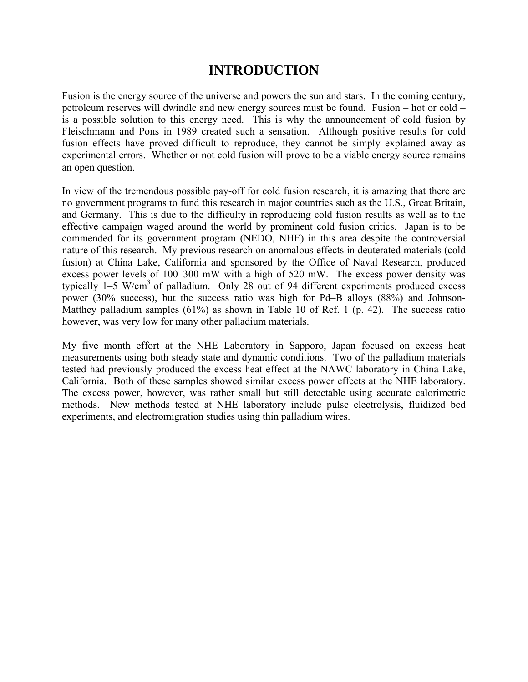## **INTRODUCTION**

<span id="page-7-0"></span>Fusion is the energy source of the universe and powers the sun and stars. In the coming century, petroleum reserves will dwindle and new energy sources must be found. Fusion  $-$  hot or cold  $$ is a possible solution to this energy need. This is why the announcement of cold fusion by Fleischmann and Pons in 1989 created such a sensation. Although positive results for cold fusion effects have proved difficult to reproduce, they cannot be simply explained away as experimental errors. Whether or not cold fusion will prove to be a viable energy source remains an open question.

In view of the tremendous possible pay-off for cold fusion research, it is amazing that there are no government programs to fund this research in major countries such as the U.S., Great Britain, and Germany. This is due to the difficulty in reproducing cold fusion results as well as to the effective campaign waged around the world by prominent cold fusion critics. Japan is to be commended for its government program (NEDO, NHE) in this area despite the controversial nature of this research. My previous research on anomalous effects in deuterated materials (cold fusion) at China Lake, California and sponsored by the Office of Naval Research, produced excess power levels of  $100-300$  mW with a high of  $520$  mW. The excess power density was typically 1–5 W/cm<sup>3</sup> of palladium. Only 28 out of 94 different experiments produced excess power (30% success), but the success ratio was high for Pd–B alloys (88%) and Johnson-Matthey palladium samples (61%) as shown in Table 10 of Ref. 1 (p. 42). The success ratio however, was very low for many other palladium materials.

My five month effort at the NHE Laboratory in Sapporo, Japan focused on excess heat measurements using both steady state and dynamic conditions. Two of the palladium materials tested had previously produced the excess heat effect at the NAWC laboratory in China Lake, California. Both of these samples showed similar excess power effects at the NHE laboratory. The excess power, however, was rather small but still detectable using accurate calorimetric methods. New methods tested at NHE laboratory include pulse electrolysis, fluidized bed experiments, and electromigration studies using thin palladium wires.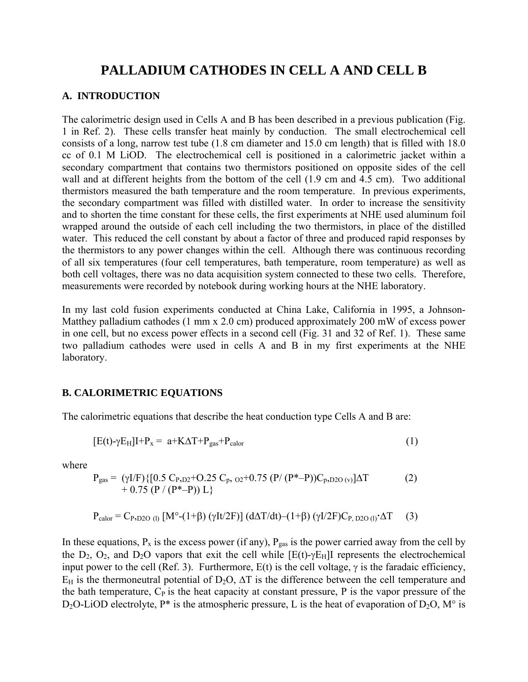## **PALLADIUM CATHODES IN CELL A AND CELL B**

#### <span id="page-8-0"></span>**A. INTRODUCTION**

The calorimetric design used in Cells A and B has been described in a previous publication (Fig. 1 in Ref. 2). These cells transfer heat mainly by conduction. The small electrochemical cell consists of a long, narrow test tube (1.8 cm diameter and 15.0 cm length) that is filled with 18.0 cc of 0.1 M LiOD. The electrochemical cell is positioned in a calorimetric jacket within a secondary compartment that contains two thermistors positioned on opposite sides of the cell wall and at different heights from the bottom of the cell (1.9 cm and 4.5 cm). Two additional thermistors measured the bath temperature and the room temperature. In previous experiments, the secondary compartment was filled with distilled water. In order to increase the sensitivity and to shorten the time constant for these cells, the first experiments at NHE used aluminum foil wrapped around the outside of each cell including the two thermistors, in place of the distilled water. This reduced the cell constant by about a factor of three and produced rapid responses by the thermistors to any power changes within the cell. Although there was continuous recording of all six temperatures (four cell temperatures, bath temperature, room temperature) as well as both cell voltages, there was no data acquisition system connected to these two cells. Therefore, measurements were recorded by notebook during working hours at the NHE laboratory.

In my last cold fusion experiments conducted at China Lake, California in 1995, a Johnson-Matthey palladium cathodes (1 mm x 2.0 cm) produced approximately 200 mW of excess power in one cell, but no excess power effects in a second cell (Fig. 31 and 32 of Ref. 1). These same two palladium cathodes were used in cells A and B in my first experiments at the NHE laboratory.

#### **B. CALORIMETRIC EQUATIONS**

The calorimetric equations that describe the heat conduction type Cells A and B are:

$$
[E(t) - \gamma E_H]I + P_x = a + K\Delta T + P_{gas} + P_{calor}
$$
\n(1)

where

$$
P_{gas} = (\gamma I/F) \{ [0.5 C_{P,D2} + O.25 C_p, o_2 + 0.75 (P/(P^* - P)) C_p, o_2 o_0)] \Delta T + 0.75 (P/(P^* - P)) L \}
$$
(2)

$$
P_{\text{calor}} = C_{P, D2O (l)} [M^{\circ}-(1+\beta) (\gamma I t/2F)] (d\Delta T/dt) - (1+\beta) (\gamma I/2F)C_{P, D2O (l)} \cdot \Delta T \tag{3}
$$

In these equations,  $P_x$  is the excess power (if any),  $P_{gas}$  is the power carried away from the cell by the  $D_2$ ,  $O_2$ , and  $D_2O$  vapors that exit the cell while  $[E(t)-\gamma E_H]$ I represents the electrochemical input power to the cell (Ref. 3). Furthermore,  $E(t)$  is the cell voltage,  $\gamma$  is the faradaic efficiency,  $E_H$  is the thermoneutral potential of D<sub>2</sub>O,  $\Delta T$  is the difference between the cell temperature and the bath temperature,  $C_P$  is the heat capacity at constant pressure, P is the vapor pressure of the D<sub>2</sub>O-LiOD electrolyte, P<sup>\*</sup> is the atmospheric pressure, L is the heat of evaporation of D<sub>2</sub>O, M<sup>o</sup> is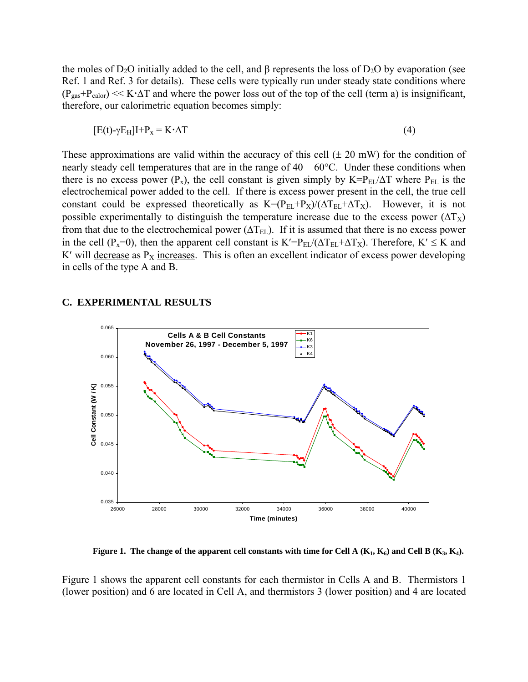<span id="page-9-0"></span>the moles of  $D_2O$  initially added to the cell, and β represents the loss of  $D_2O$  by evaporation (see Ref. 1 and Ref. 3 for details). These cells were typically run under steady state conditions where  $(P_{gas}+P_{calor}) \ll K \cdot \Delta T$  and where the power loss out of the top of the cell (term a) is insignificant, therefore, our calorimetric equation becomes simply:

$$
[E(t) - \gamma E_H]I + P_x = K \cdot \Delta T \tag{4}
$$

These approximations are valid within the accuracy of this cell  $(\pm 20 \text{ mW})$  for the condition of nearly steady cell temperatures that are in the range of  $40 - 60^{\circ}$ C. Under these conditions when there is no excess power (P<sub>x</sub>), the cell constant is given simply by K=P<sub>EL</sub>/ $\Delta T$  where P<sub>EL</sub> is the electrochemical power added to the cell. If there is excess power present in the cell, the true cell constant could be expressed theoretically as  $K=(P_{EL}+P_X)/(\Delta T_{EL}+\Delta T_X)$ . However, it is not possible experimentally to distinguish the temperature increase due to the excess power  $(\Delta T_X)$ from that due to the electrochemical power ( $\Delta T_{EL}$ ). If it is assumed that there is no excess power in the cell (P<sub>x</sub>=0), then the apparent cell constant is K′=P<sub>EL</sub>/( $\Delta T_{EL}$ + $\Delta T_{X}$ ). Therefore, K′ ≤ K and K' will decrease as  $P_X$  increases. This is often an excellent indicator of excess power developing in cells of the type A and B.

#### **C. EXPERIMENTAL RESULTS**



**Figure 1.** The change of the apparent cell constants with time for Cell A  $(K_1, K_6)$  and Cell B  $(K_3, K_4)$ .

Figure 1 shows the apparent cell constants for each thermistor in Cells A and B. Thermistors 1 (lower position) and 6 are located in Cell A, and thermistors 3 (lower position) and 4 are located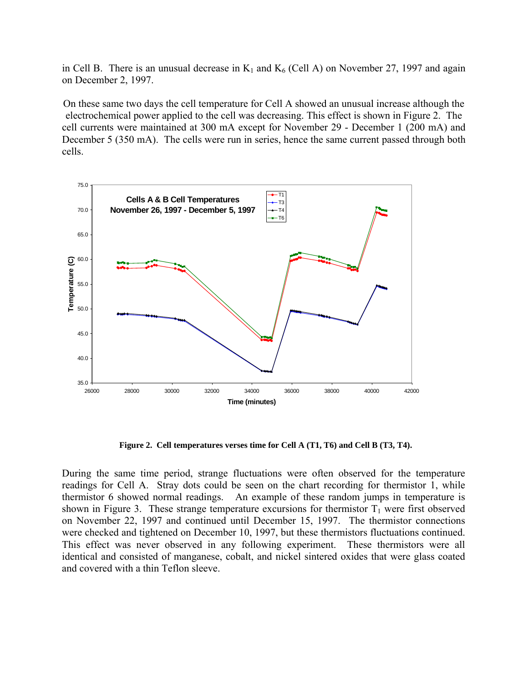<span id="page-10-0"></span>in Cell B. There is an unusual decrease in  $K_1$  and  $K_6$  (Cell A) on November 27, 1997 and again on December 2, 1997.

On these same two days the cell temperature for Cell A showed an unusual increase although the electrochemical power applied to the cell was decreasing. This effect is shown in Figure 2. The cell currents were maintained at 300 mA except for November 29 - December 1 (200 mA) and December 5 (350 mA). The cells were run in series, hence the same current passed through both cells.



**Figure 2. Cell temperatures verses time for Cell A (T1, T6) and Cell B (T3, T4).** 

During the same time period, strange fluctuations were often observed for the temperature readings for Cell A. Stray dots could be seen on the chart recording for thermistor 1, while thermistor 6 showed normal readings. An example of these random jumps in temperature is shown in Figure 3. These strange temperature excursions for thermistor  $T_1$  were first observed on November 22, 1997 and continued until December 15, 1997. The thermistor connections were checked and tightened on December 10, 1997, but these thermistors fluctuations continued. This effect was never observed in any following experiment. These thermistors were all identical and consisted of manganese, cobalt, and nickel sintered oxides that were glass coated and covered with a thin Teflon sleeve.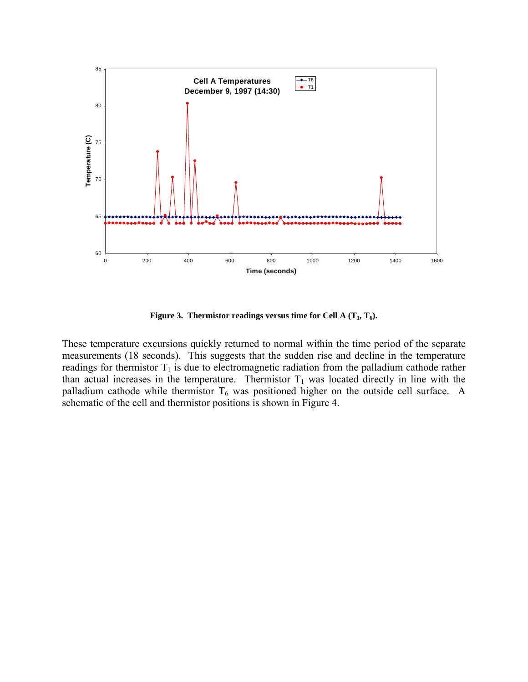<span id="page-11-0"></span>

**Figure 3. Thermistor readings versus time for Cell A**  $(T_1, T_6)$ **.** 

These temperature excursions quickly returned to normal within the time period of the separate measurements (18 seconds). This suggests that the sudden rise and decline in the temperature readings for thermistor  $T_1$  is due to electromagnetic radiation from the palladium cathode rather than actual increases in the temperature. Thermistor  $T_1$  was located directly in line with the palladium cathode while thermistor  $T_6$  was positioned higher on the outside cell surface. A schematic of the cell and thermistor positions is shown in Figure 4.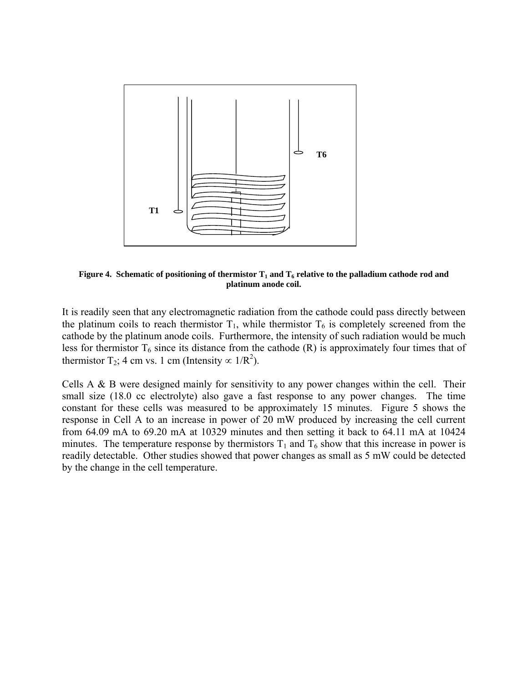<span id="page-12-0"></span>

**Figure 4. Schematic of positioning of thermistor**  $T_1$  **and**  $T_6$  **relative to the palladium cathode rod and platinum anode coil.** 

It is readily seen that any electromagnetic radiation from the cathode could pass directly between the platinum coils to reach thermistor  $T_1$ , while thermistor  $T_6$  is completely screened from the cathode by the platinum anode coils. Furthermore, the intensity of such radiation would be much less for thermistor  $T_6$  since its distance from the cathode (R) is approximately four times that of thermistor T<sub>2</sub>; 4 cm vs. 1 cm (Intensity  $\propto 1/R^2$ ).

Cells A & B were designed mainly for sensitivity to any power changes within the cell. Their small size (18.0 cc electrolyte) also gave a fast response to any power changes. The time constant for these cells was measured to be approximately 15 minutes. Figure 5 shows the response in Cell A to an increase in power of 20 mW produced by increasing the cell current from 64.09 mA to 69.20 mA at 10329 minutes and then setting it back to 64.11 mA at 10424 minutes. The temperature response by thermistors  $T_1$  and  $T_6$  show that this increase in power is readily detectable. Other studies showed that power changes as small as 5 mW could be detected by the change in the cell temperature.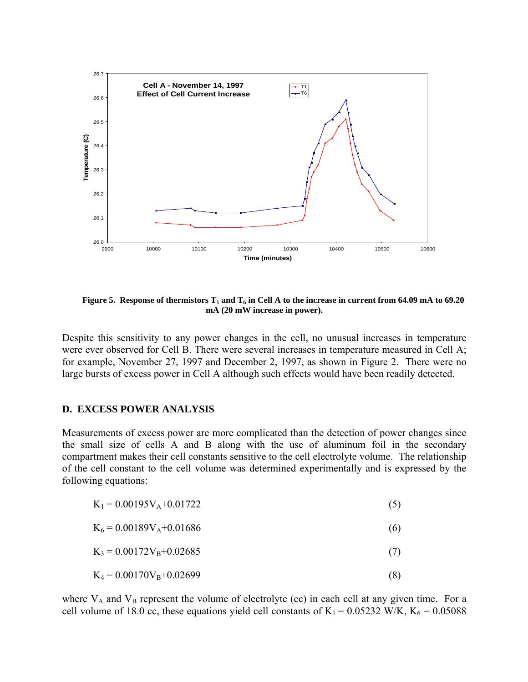<span id="page-13-0"></span>

**Figure 5. Response of thermistors**  $T_1$  and  $T_6$  in Cell A to the increase in current from 64.09 mA to 69.20 **mA (20 mW increase in power).** 

Despite this sensitivity to any power changes in the cell, no unusual increases in temperature were ever observed for Cell B. There were several increases in temperature measured in Cell A; for example, November 27, 1997 and December 2, 1997, as shown in Figure 2. There were no large bursts of excess power in Cell A although such effects would have been readily detected.

#### **D. EXCESS POWER ANALYSIS**

Measurements of excess power are more complicated than the detection of power changes since the small size of cells A and B along with the use of aluminum foil in the secondary compartment makes their cell constants sensitive to the cell electrolyte volume. The relationship of the cell constant to the cell volume was determined experimentally and is expressed by the following equations:

| $K_1 = 0.00195V_A + 0.01722$ |
|------------------------------|
|------------------------------|

| $K_6 = 0.00189V_A + 0.01686$ |  |  |  |
|------------------------------|--|--|--|
|------------------------------|--|--|--|

- $K_3 = 0.00172V_B + 0.02685$  (7)
- $K_4 = 0.00170V_B + 0.02699$  (8)

where  $V_A$  and  $V_B$  represent the volume of electrolyte (cc) in each cell at any given time. For a cell volume of 18.0 cc, these equations yield cell constants of  $K_1 = 0.05232$  W/K,  $K_6 = 0.05088$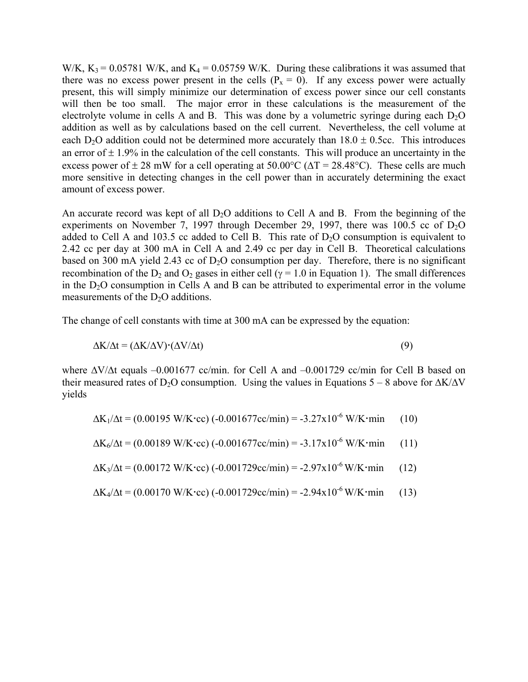W/K,  $K_3 = 0.05781$  W/K, and  $K_4 = 0.05759$  W/K. During these calibrations it was assumed that there was no excess power present in the cells  $(P_x = 0)$ . If any excess power were actually present, this will simply minimize our determination of excess power since our cell constants will then be too small. The major error in these calculations is the measurement of the electrolyte volume in cells A and B. This was done by a volumetric syringe during each  $D_2O$ addition as well as by calculations based on the cell current. Nevertheless, the cell volume at each D<sub>2</sub>O addition could not be determined more accurately than  $18.0 \pm 0.5$ cc. This introduces an error of  $\pm$  1.9% in the calculation of the cell constants. This will produce an uncertainty in the excess power of  $\pm 28$  mW for a cell operating at 50.00°C ( $\Delta T = 28.48$ °C). These cells are much more sensitive in detecting changes in the cell power than in accurately determining the exact amount of excess power.

An accurate record was kept of all  $D_2O$  additions to Cell A and B. From the beginning of the experiments on November 7, 1997 through December 29, 1997, there was  $100.5$  cc of  $D_2O$ added to Cell A and 103.5 cc added to Cell B. This rate of  $D_2O$  consumption is equivalent to 2.42 cc per day at 300 mA in Cell A and 2.49 cc per day in Cell B. Theoretical calculations based on 300 mA yield 2.43 cc of  $D_2O$  consumption per day. Therefore, there is no significant recombination of the D<sub>2</sub> and O<sub>2</sub> gases in either cell ( $\gamma$  = 1.0 in Equation 1). The small differences in the  $D_2O$  consumption in Cells A and B can be attributed to experimental error in the volume measurements of the  $D_2O$  additions.

The change of cell constants with time at 300 mA can be expressed by the equation:

$$
\Delta K/\Delta t = (\Delta K/\Delta V) \cdot (\Delta V/\Delta t) \tag{9}
$$

where  $\Delta V/\Delta t$  equals -0.001677 cc/min. for Cell A and -0.001729 cc/min for Cell B based on their measured rates of D<sub>2</sub>O consumption. Using the values in Equations 5 – 8 above for  $\Delta K/\Delta V$ yields

$$
\Delta K_1/\Delta t = (0.00195 \text{ W/K} \cdot \text{cc}) (-0.001677 \text{cc/min}) = -3.27 \times 10^{-6} \text{ W/K} \cdot \text{min}
$$
 (10)

$$
\Delta K_6 / \Delta t = (0.00189 \text{ W/K} \cdot \text{cc}) (-0.001677 \text{cc/min}) = -3.17 \times 10^{-6} \text{ W/K} \cdot \text{min}
$$
 (11)

$$
\Delta K_3/\Delta t = (0.00172 \text{ W/K} \cdot \text{cc}) (-0.001729 \text{cc/min}) = -2.97 \times 10^{-6} \text{ W/K} \cdot \text{min}
$$
 (12)

$$
\Delta K_4/\Delta t = (0.00170 \text{ W/K} \cdot \text{cc}) (-0.001729 \text{cc/min}) = -2.94 \times 10^{-6} \text{ W/K} \cdot \text{min}
$$
 (13)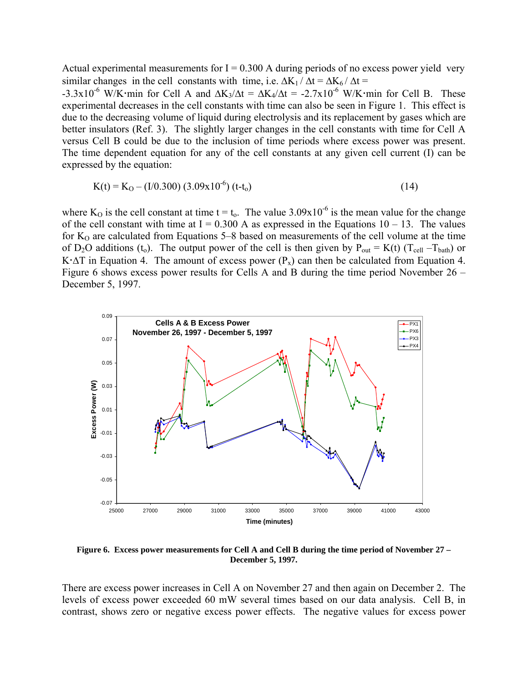<span id="page-15-0"></span>Actual experimental measurements for  $I = 0.300$  A during periods of no excess power yield very similar changes in the cell constants with time, i.e.  $\Delta K_1 / \Delta t = \Delta K_6 / \Delta t =$ 

-3.3x10<sup>-6</sup> W/K min for Cell A and  $\Delta K_3/\Delta t = \Delta K_4/\Delta t = -2.7x10^{-6}$  W/K min for Cell B. These experimental decreases in the cell constants with time can also be seen in Figure 1. This effect is due to the decreasing volume of liquid during electrolysis and its replacement by gases which are better insulators (Ref. 3). The slightly larger changes in the cell constants with time for Cell A versus Cell B could be due to the inclusion of time periods where excess power was present. The time dependent equation for any of the cell constants at any given cell current (I) can be expressed by the equation:

$$
K(t) = K_O - (I/0.300) (3.09 \times 10^{-6}) (t-t_o)
$$
 (14)

where K<sub>O</sub> is the cell constant at time t = t<sub>0</sub>. The value 3.09x10<sup>-6</sup> is the mean value for the change of the cell constant with time at  $I = 0.300$  A as expressed in the Equations  $10 - 13$ . The values for  $K_0$  are calculated from Equations 5–8 based on measurements of the cell volume at the time of D<sub>2</sub>O additions (t<sub>o</sub>). The output power of the cell is then given by P<sub>out</sub> = K(t) (T<sub>cell</sub> -T<sub>bath</sub>) or K $\cdot \Delta T$  in Equation 4. The amount of excess power (P<sub>x</sub>) can then be calculated from Equation 4. Figure 6 shows excess power results for Cells A and B during the time period November  $26 -$ December 5, 1997.



**Figure 6. Excess power measurements for Cell A and Cell B during the time period of November 27 – December 5, 1997.** 

There are excess power increases in Cell A on November 27 and then again on December 2. The levels of excess power exceeded 60 mW several times based on our data analysis. Cell B, in contrast, shows zero or negative excess power effects. The negative values for excess power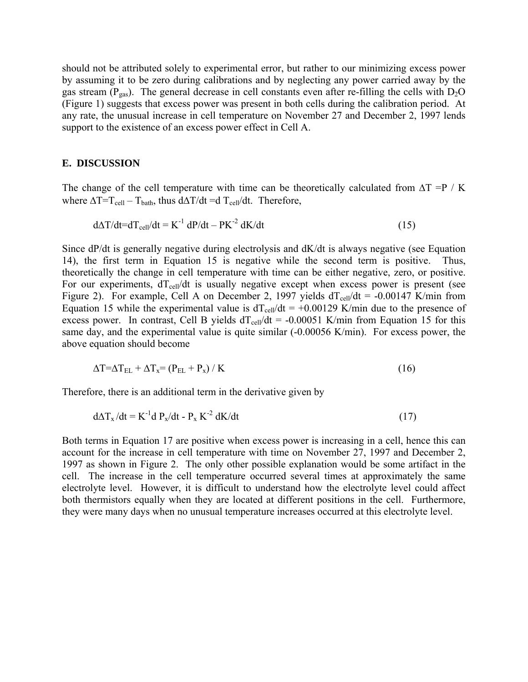<span id="page-16-0"></span>should not be attributed solely to experimental error, but rather to our minimizing excess power by assuming it to be zero during calibrations and by neglecting any power carried away by the gas stream ( $P_{gas}$ ). The general decrease in cell constants even after re-filling the cells with  $D_2O$ (Figure 1) suggests that excess power was present in both cells during the calibration period. At any rate, the unusual increase in cell temperature on November 27 and December 2, 1997 lends support to the existence of an excess power effect in Cell A.

#### **E. DISCUSSION**

The change of the cell temperature with time can be theoretically calculated from  $\Delta T = P / K$ where  $\Delta T=T_{cell}-T_{bath}$ , thus d $\Delta T/dt = d T_{cell}/dt$ . Therefore,

$$
d\Delta T/dt = dT_{cell}/dt = K^{-1} dP/dt - PK^{-2} dK/dt
$$
\n(15)

Since dP/dt is generally negative during electrolysis and dK/dt is always negative (see Equation 14), the first term in Equation 15 is negative while the second term is positive. Thus, theoretically the change in cell temperature with time can be either negative, zero, or positive. For our experiments,  $dT_{cell}/dt$  is usually negative except when excess power is present (see Figure 2). For example, Cell A on December 2, 1997 yields  $dT_{cell}/dt = -0.00147$  K/min from Equation 15 while the experimental value is  $dT_{cell}/dt = +0.00129$  K/min due to the presence of excess power. In contrast, Cell B yields  $dT_{cell}/dt = -0.00051$  K/min from Equation 15 for this same day, and the experimental value is quite similar  $(-0.00056 \text{ K/min})$ . For excess power, the above equation should become

$$
\Delta T = \Delta T_{EL} + \Delta T_x = (P_{EL} + P_x) / K \tag{16}
$$

Therefore, there is an additional term in the derivative given by

$$
d\Delta T_x/dt = K^{-1}d P_x/dt - P_x K^{-2} dK/dt
$$
 (17)

Both terms in Equation 17 are positive when excess power is increasing in a cell, hence this can account for the increase in cell temperature with time on November 27, 1997 and December 2, 1997 as shown in Figure 2. The only other possible explanation would be some artifact in the cell. The increase in the cell temperature occurred several times at approximately the same electrolyte level. However, it is difficult to understand how the electrolyte level could affect both thermistors equally when they are located at different positions in the cell. Furthermore, they were many days when no unusual temperature increases occurred at this electrolyte level.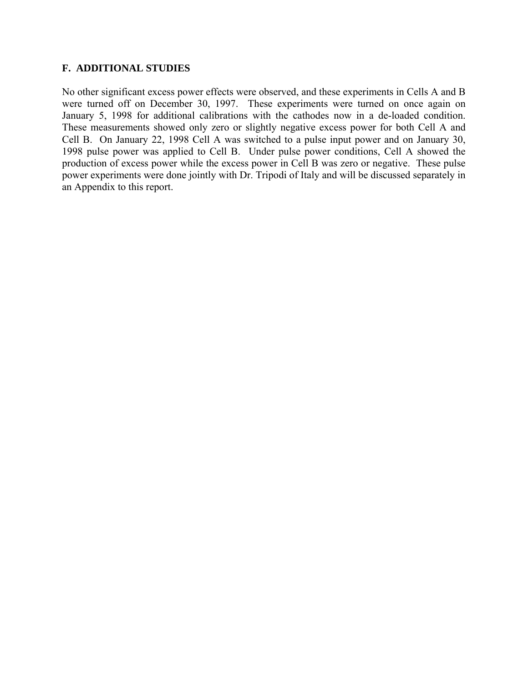#### <span id="page-17-0"></span>**F. ADDITIONAL STUDIES**

No other significant excess power effects were observed, and these experiments in Cells A and B were turned off on December 30, 1997. These experiments were turned on once again on January 5, 1998 for additional calibrations with the cathodes now in a de-loaded condition. These measurements showed only zero or slightly negative excess power for both Cell A and Cell B. On January 22, 1998 Cell A was switched to a pulse input power and on January 30, 1998 pulse power was applied to Cell B. Under pulse power conditions, Cell A showed the production of excess power while the excess power in Cell B was zero or negative. These pulse power experiments were done jointly with Dr. Tripodi of Italy and will be discussed separately in an Appendix to this report.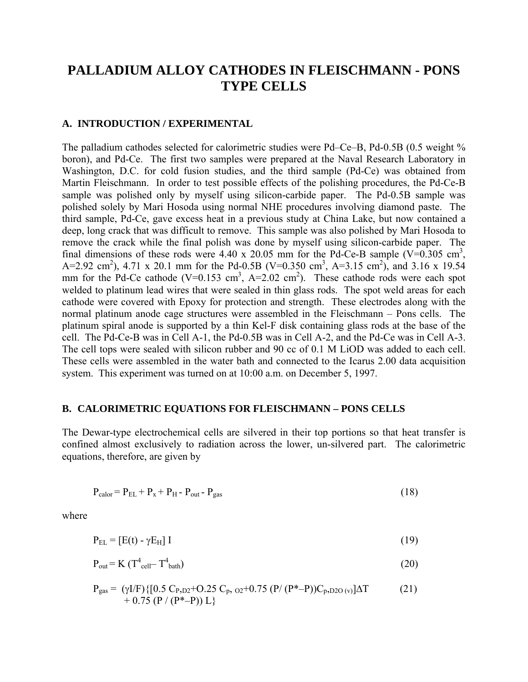## <span id="page-18-0"></span>**PALLADIUM ALLOY CATHODES IN FLEISCHMANN - PONS TYPE CELLS**

#### **A. INTRODUCTION / EXPERIMENTAL**

The palladium cathodes selected for calorimetric studies were Pd–Ce–B, Pd-0.5B (0.5 weight  $\%$ boron), and Pd-Ce. The first two samples were prepared at the Naval Research Laboratory in Washington, D.C. for cold fusion studies, and the third sample (Pd-Ce) was obtained from Martin Fleischmann. In order to test possible effects of the polishing procedures, the Pd-Ce-B sample was polished only by myself using silicon-carbide paper. The Pd-0.5B sample was polished solely by Mari Hosoda using normal NHE procedures involving diamond paste. The third sample, Pd-Ce, gave excess heat in a previous study at China Lake, but now contained a deep, long crack that was difficult to remove. This sample was also polished by Mari Hosoda to remove the crack while the final polish was done by myself using silicon-carbide paper. The final dimensions of these rods were 4.40 x 20.05 mm for the Pd-Ce-B sample (V=0.305 cm<sup>3</sup>, A=2.92 cm<sup>2</sup>), 4.71 x 20.1 mm for the Pd-0.5B (V=0.350 cm<sup>3</sup>, A=3.15 cm<sup>2</sup>), and 3.16 x 19.54 mm for the Pd-Ce cathode (V=0.153 cm<sup>3</sup>, A=2.02 cm<sup>2</sup>). These cathode rods were each spot welded to platinum lead wires that were sealed in thin glass rods. The spot weld areas for each cathode were covered with Epoxy for protection and strength. These electrodes along with the normal platinum anode cage structures were assembled in the Fleischmann – Pons cells. The platinum spiral anode is supported by a thin Kel-F disk containing glass rods at the base of the cell. The Pd-Ce-B was in Cell A-1, the Pd-0.5B was in Cell A-2, and the Pd-Ce was in Cell A-3. The cell tops were sealed with silicon rubber and 90 cc of 0.1 M LiOD was added to each cell. These cells were assembled in the water bath and connected to the Icarus 2.00 data acquisition system. This experiment was turned on at 10:00 a.m. on December 5, 1997.

#### **B. CALORIMETRIC EQUATIONS FOR FLEISCHMANN – PONS CELLS**

The Dewar-type electrochemical cells are silvered in their top portions so that heat transfer is confined almost exclusively to radiation across the lower, un-silvered part. The calorimetric equations, therefore, are given by

$$
P_{\text{calor}} = P_{\text{EL}} + P_{\text{x}} + P_{\text{H}} - P_{\text{out}} - P_{\text{gas}}
$$
\n(18)

where

$$
P_{EL} = [E(t) - \gamma E_H] I \tag{19}
$$

$$
P_{\text{out}} = K (T^4_{\text{cell}} - T^4_{\text{bath}}) \tag{20}
$$

$$
P_{gas} = (\gamma I/F) \{ [0.5 C_{P,D2} + O.25 C_p, o_2 + 0.75 (P/(P^* - P))C_p, o_{2O(v)}]\Delta T + 0.75 (P/(P^* - P)) L \}
$$
(21)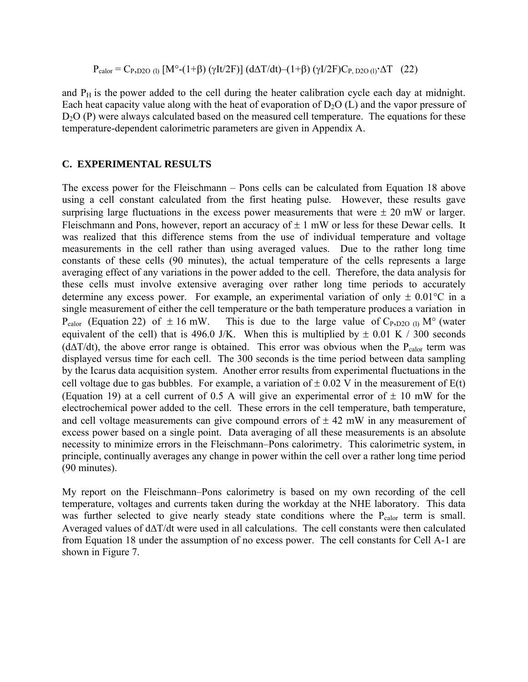$$
P_{\text{calor}} = C_{P, D2O (l)} [M^{\circ}-(1+\beta) (\gamma I t/2F)] (d\Delta T/dt) - (1+\beta) (\gamma I/2F)C_{P, D2O (l)} \cdot \Delta T \quad (22)
$$

<span id="page-19-0"></span>and  $P_H$  is the power added to the cell during the heater calibration cycle each day at midnight. Each heat capacity value along with the heat of evaporation of  $D_2O (L)$  and the vapor pressure of D<sub>2</sub>O (P) were always calculated based on the measured cell temperature. The equations for these temperature-dependent calorimetric parameters are given in Appendix A.

#### **C. EXPERIMENTAL RESULTS**

The excess power for the Fleischmann  $-$  Pons cells can be calculated from Equation 18 above using a cell constant calculated from the first heating pulse. However, these results gave surprising large fluctuations in the excess power measurements that were  $\pm 20$  mW or larger. Fleischmann and Pons, however, report an accuracy of  $\pm 1$  mW or less for these Dewar cells. It was realized that this difference stems from the use of individual temperature and voltage measurements in the cell rather than using averaged values. Due to the rather long time constants of these cells (90 minutes), the actual temperature of the cells represents a large averaging effect of any variations in the power added to the cell. Therefore, the data analysis for these cells must involve extensive averaging over rather long time periods to accurately determine any excess power. For example, an experimental variation of only  $\pm 0.01^{\circ}$ C in a single measurement of either the cell temperature or the bath temperature produces a variation in P<sub>calor</sub> (Equation 22) of  $\pm 16$  mW. This is due to the large value of C<sub>P</sub>, p<sub>20 (l)</sub> M<sup>o</sup> (water equivalent of the cell) that is 496.0 J/K. When this is multiplied by  $\pm$  0.01 K / 300 seconds ( $d\Delta T/dt$ ), the above error range is obtained. This error was obvious when the P<sub>calor</sub> term was displayed versus time for each cell. The 300 seconds is the time period between data sampling by the Icarus data acquisition system. Another error results from experimental fluctuations in the cell voltage due to gas bubbles. For example, a variation of  $\pm$  0.02 V in the measurement of E(t) (Equation 19) at a cell current of 0.5 A will give an experimental error of  $\pm$  10 mW for the electrochemical power added to the cell. These errors in the cell temperature, bath temperature, and cell voltage measurements can give compound errors of  $\pm$  42 mW in any measurement of excess power based on a single point. Data averaging of all these measurements is an absolute necessity to minimize errors in the Fleischmann–Pons calorimetry. This calorimetric system, in principle, continually averages any change in power within the cell over a rather long time period (90 minutes).

My report on the Fleischmann–Pons calorimetry is based on my own recording of the cell temperature, voltages and currents taken during the workday at the NHE laboratory. This data was further selected to give nearly steady state conditions where the P<sub>calor</sub> term is small. Averaged values of d∆T/dt were used in all calculations. The cell constants were then calculated from Equation 18 under the assumption of no excess power. The cell constants for Cell A-1 are shown in Figure 7.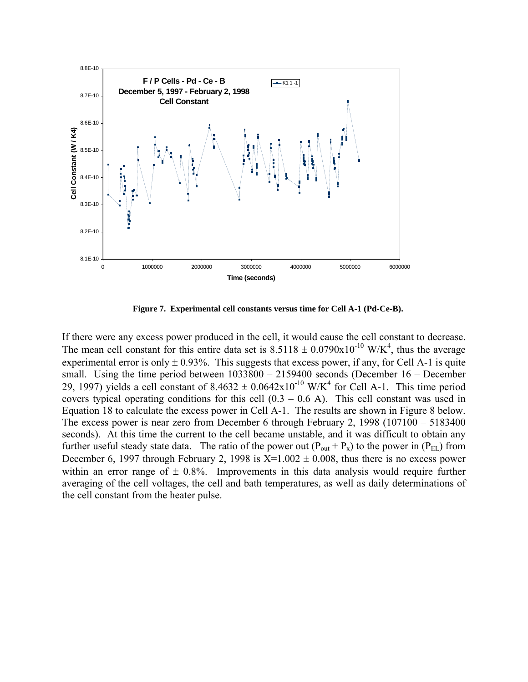<span id="page-20-0"></span>

**Figure 7. Experimental cell constants versus time for Cell A-1 (Pd-Ce-B).** 

If there were any excess power produced in the cell, it would cause the cell constant to decrease. The mean cell constant for this entire data set is  $8.5118 \pm 0.0790 \times 10^{-10}$  W/K<sup>4</sup>, thus the average experimental error is only  $\pm$  0.93%. This suggests that excess power, if any, for Cell A-1 is quite small. Using the time period between  $1033800 - 2159400$  seconds (December 16 – December 29, 1997) yields a cell constant of  $8.4632 \pm 0.0642 \times 10^{-10}$  W/K<sup>4</sup> for Cell A-1. This time period covers typical operating conditions for this cell  $(0.3 - 0.6 \text{ A})$ . This cell constant was used in Equation 18 to calculate the excess power in Cell A-1. The results are shown in Figure 8 below. The excess power is near zero from December 6 through February 2,  $1998$  ( $107100 - 5183400$ ) seconds). At this time the current to the cell became unstable, and it was difficult to obtain any further useful steady state data. The ratio of the power out  $(P_{out} + P_x)$  to the power in  $(P_{EL})$  from December 6, 1997 through February 2, 1998 is  $X=1.002 \pm 0.008$ , thus there is no excess power within an error range of  $\pm$  0.8%. Improvements in this data analysis would require further averaging of the cell voltages, the cell and bath temperatures, as well as daily determinations of the cell constant from the heater pulse.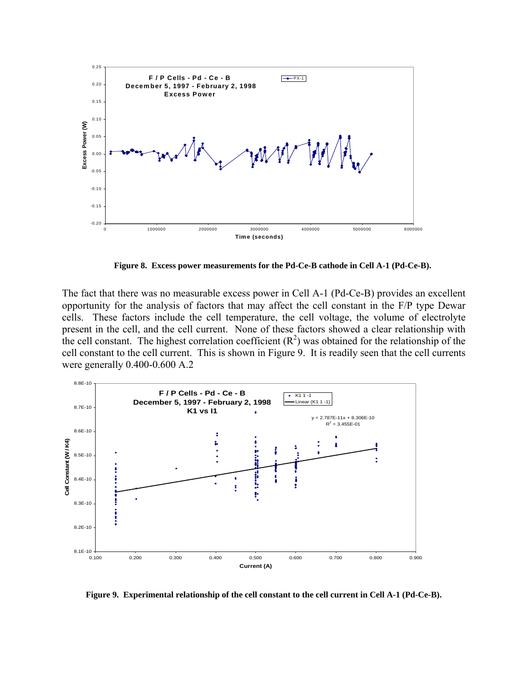<span id="page-21-0"></span>

**Figure 8. Excess power measurements for the Pd-Ce-B cathode in Cell A-1 (Pd-Ce-B).** 

The fact that there was no measurable excess power in Cell A-1 (Pd-Ce-B) provides an excellent opportunity for the analysis of factors that may affect the cell constant in the F/P type Dewar cells. These factors include the cell temperature, the cell voltage, the volume of electrolyte present in the cell, and the cell current. None of these factors showed a clear relationship with the cell constant. The highest correlation coefficient  $(R^2)$  was obtained for the relationship of the cell constant to the cell current. This is shown in Figure 9. It is readily seen that the cell currents were generally 0.400-0.600 A.2



**Figure 9. Experimental relationship of the cell constant to the cell current in Cell A-1 (Pd-Ce-B).**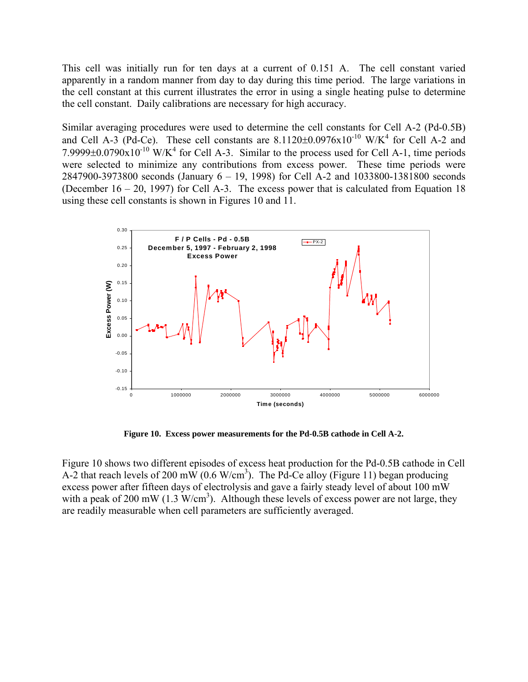<span id="page-22-0"></span>This cell was initially run for ten days at a current of 0.151 A. The cell constant varied apparently in a random manner from day to day during this time period. The large variations in the cell constant at this current illustrates the error in using a single heating pulse to determine the cell constant. Daily calibrations are necessary for high accuracy.

Similar averaging procedures were used to determine the cell constants for Cell A-2 (Pd-0.5B) and Cell A-3 (Pd-Ce). These cell constants are  $8.1120\pm0.0976x10^{-10}$  W/K<sup>4</sup> for Cell A-2 and 7.9999 $\pm$ 0.0790x10<sup>-10</sup> W/K<sup>4</sup> for Cell A-3. Similar to the process used for Cell A-1, time periods were selected to minimize any contributions from excess power. These time periods were  $2847900-3973800$  seconds (January  $6 - 19$ , 1998) for Cell A-2 and 1033800-1381800 seconds (December  $16 - 20$ , 1997) for Cell A-3. The excess power that is calculated from Equation 18 using these cell constants is shown in Figures 10 and 11.



**Figure 10. Excess power measurements for the Pd-0.5B cathode in Cell A-2.** 

Figure 10 shows two different episodes of excess heat production for the Pd-0.5B cathode in Cell A-2 that reach levels of 200 mW (0.6 W/cm<sup>3</sup>). The Pd-Ce alloy (Figure 11) began producing excess power after fifteen days of electrolysis and gave a fairly steady level of about 100 mW with a peak of 200 mW (1.3  $W/cm<sup>3</sup>$ ). Although these levels of excess power are not large, they are readily measurable when cell parameters are sufficiently averaged.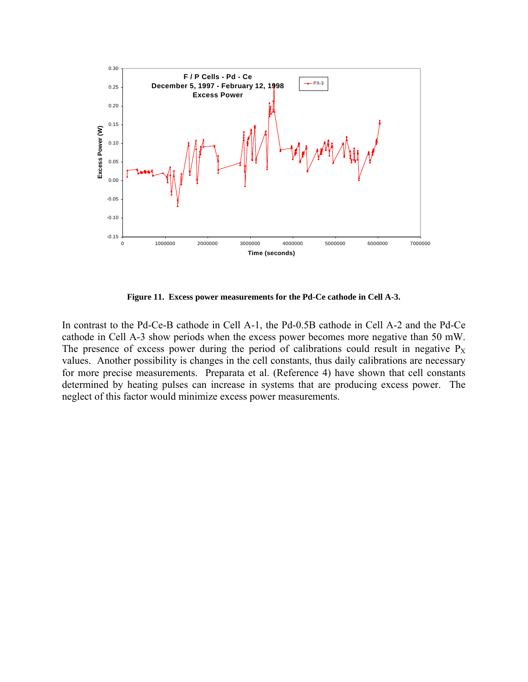<span id="page-23-0"></span>

**Figure 11. Excess power measurements for the Pd-Ce cathode in Cell A-3.** 

In contrast to the Pd-Ce-B cathode in Cell A-1, the Pd-0.5B cathode in Cell A-2 and the Pd-Ce cathode in Cell A-3 show periods when the excess power becomes more negative than 50 mW. The presence of excess power during the period of calibrations could result in negative  $P_X$ values. Another possibility is changes in the cell constants, thus daily calibrations are necessary for more precise measurements. Preparata et al. (Reference 4) have shown that cell constants determined by heating pulses can increase in systems that are producing excess power. The neglect of this factor would minimize excess power measurements.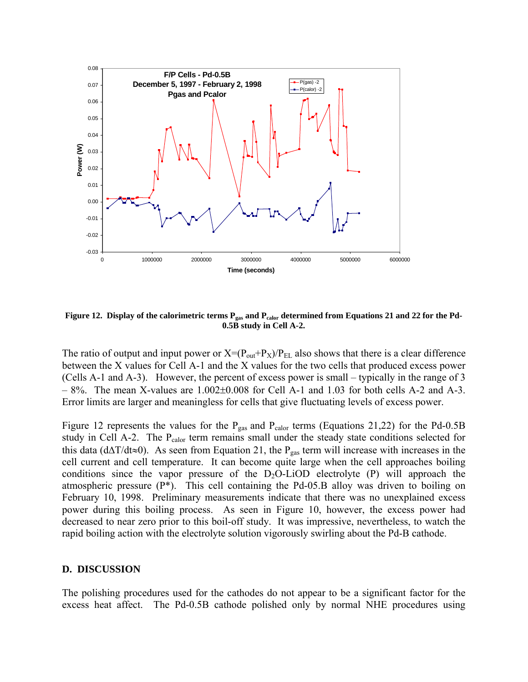<span id="page-24-0"></span>

Figure 12. Display of the calorimetric terms P<sub>gas</sub> and P<sub>calor</sub> determined from Equations 21 and 22 for the Pd-**0.5B study in Cell A-2.**

The ratio of output and input power or  $X=(P_{out}+P_X)/P_{EL}$  also shows that there is a clear difference between the X values for Cell A-1 and the X values for the two cells that produced excess power (Cells A-1 and A-3). However, the percent of excess power is small – typically in the range of 3  $-8\%$ . The mean X-values are  $1.002\pm0.008$  for Cell A-1 and 1.03 for both cells A-2 and A-3. Error limits are larger and meaningless for cells that give fluctuating levels of excess power.

Figure 12 represents the values for the  $P_{gas}$  and  $P_{calor}$  terms (Equations 21,22) for the Pd-0.5B study in Cell A-2. The P<sub>calor</sub> term remains small under the steady state conditions selected for this data (d∆T/dt≈0). As seen from Equation 21, the P<sub>gas</sub> term will increase with increases in the cell current and cell temperature. It can become quite large when the cell approaches boiling conditions since the vapor pressure of the  $D_2O-LiOD$  electrolyte (P) will approach the atmospheric pressure  $(P^*)$ . This cell containing the Pd-05.B alloy was driven to boiling on February 10, 1998. Preliminary measurements indicate that there was no unexplained excess power during this boiling process. As seen in Figure 10, however, the excess power had decreased to near zero prior to this boil-off study. It was impressive, nevertheless, to watch the rapid boiling action with the electrolyte solution vigorously swirling about the Pd-B cathode.

#### **D. DISCUSSION**

The polishing procedures used for the cathodes do not appear to be a significant factor for the excess heat affect. The Pd-0.5B cathode polished only by normal NHE procedures using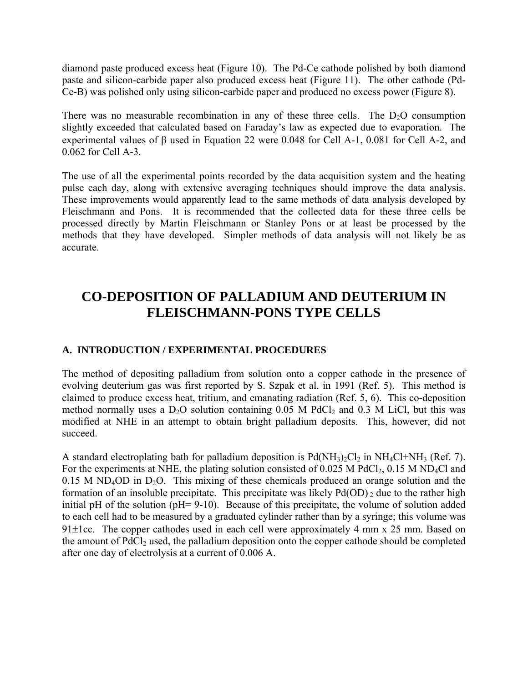<span id="page-25-0"></span>diamond paste produced excess heat (Figure 10). The Pd-Ce cathode polished by both diamond paste and silicon-carbide paper also produced excess heat (Figure 11). The other cathode (Pd-Ce-B) was polished only using silicon-carbide paper and produced no excess power (Figure 8).

There was no measurable recombination in any of these three cells. The  $D_2O$  consumption slightly exceeded that calculated based on Faraday's law as expected due to evaporation. The experimental values of β used in Equation 22 were 0.048 for Cell A-1, 0.081 for Cell A-2, and 0.062 for Cell A-3.

The use of all the experimental points recorded by the data acquisition system and the heating pulse each day, along with extensive averaging techniques should improve the data analysis. These improvements would apparently lead to the same methods of data analysis developed by Fleischmann and Pons. It is recommended that the collected data for these three cells be processed directly by Martin Fleischmann or Stanley Pons or at least be processed by the methods that they have developed. Simpler methods of data analysis will not likely be as accurate.

## **CO-DEPOSITION OF PALLADIUM AND DEUTERIUM IN FLEISCHMANN-PONS TYPE CELLS**

#### **A. INTRODUCTION / EXPERIMENTAL PROCEDURES**

The method of depositing palladium from solution onto a copper cathode in the presence of evolving deuterium gas was first reported by S. Szpak et al. in 1991 (Ref. 5). This method is claimed to produce excess heat, tritium, and emanating radiation (Ref. 5, 6). This co-deposition method normally uses a  $D_2O$  solution containing 0.05 M PdCl<sub>2</sub> and 0.3 M LiCl, but this was modified at NHE in an attempt to obtain bright palladium deposits. This, however, did not succeed.

A standard electroplating bath for palladium deposition is  $Pd(NH_3)_2Cl_2$  in  $NH_4Cl+NH_3$  (Ref. 7). For the experiments at NHE, the plating solution consisted of 0.025 M PdCl<sub>2</sub>, 0.15 M ND<sub>4</sub>Cl and  $0.15$  M ND<sub>4</sub>OD in D<sub>2</sub>O. This mixing of these chemicals produced an orange solution and the formation of an insoluble precipitate. This precipitate was likely  $Pd(OD)$  and to the rather high initial pH of the solution (pH= 9-10). Because of this precipitate, the volume of solution added to each cell had to be measured by a graduated cylinder rather than by a syringe; this volume was 91 $\pm$ 1cc. The copper cathodes used in each cell were approximately 4 mm x 25 mm. Based on the amount of  $PdCl<sub>2</sub>$  used, the palladium deposition onto the copper cathode should be completed after one day of electrolysis at a current of 0.006 A.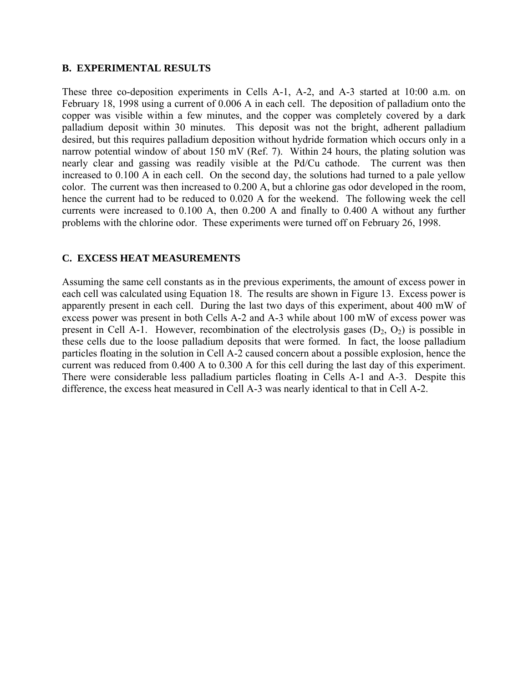#### <span id="page-26-0"></span>**B. EXPERIMENTAL RESULTS**

These three co-deposition experiments in Cells A-1, A-2, and A-3 started at 10:00 a.m. on February 18, 1998 using a current of 0.006 A in each cell. The deposition of palladium onto the copper was visible within a few minutes, and the copper was completely covered by a dark palladium deposit within 30 minutes. This deposit was not the bright, adherent palladium desired, but this requires palladium deposition without hydride formation which occurs only in a narrow potential window of about 150 mV (Ref. 7). Within 24 hours, the plating solution was nearly clear and gassing was readily visible at the Pd/Cu cathode. The current was then increased to 0.100 A in each cell. On the second day, the solutions had turned to a pale yellow color. The current was then increased to 0.200 A, but a chlorine gas odor developed in the room, hence the current had to be reduced to 0.020 A for the weekend. The following week the cell currents were increased to 0.100 A, then 0.200 A and finally to 0.400 A without any further problems with the chlorine odor. These experiments were turned off on February 26, 1998.

#### **C. EXCESS HEAT MEASUREMENTS**

Assuming the same cell constants as in the previous experiments, the amount of excess power in each cell was calculated using Equation 18. The results are shown in Figure 13. Excess power is apparently present in each cell. During the last two days of this experiment, about 400 mW of excess power was present in both Cells A-2 and A-3 while about 100 mW of excess power was present in Cell A-1. However, recombination of the electrolysis gases  $(D_2, O_2)$  is possible in these cells due to the loose palladium deposits that were formed. In fact, the loose palladium particles floating in the solution in Cell A-2 caused concern about a possible explosion, hence the current was reduced from 0.400 A to 0.300 A for this cell during the last day of this experiment. There were considerable less palladium particles floating in Cells A-1 and A-3. Despite this difference, the excess heat measured in Cell A-3 was nearly identical to that in Cell A-2.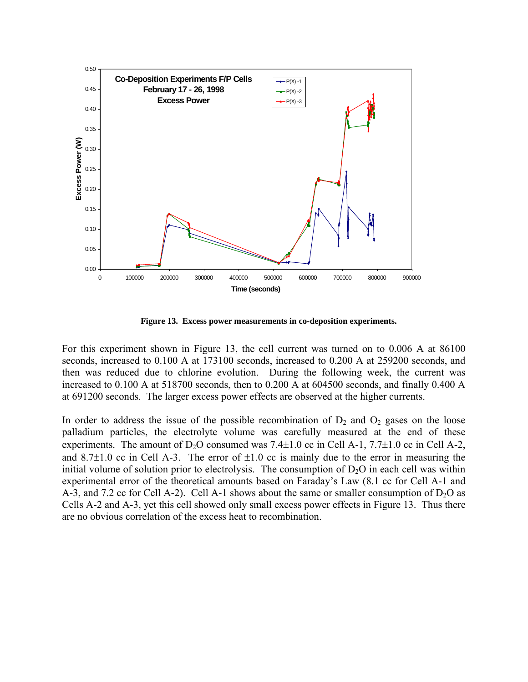<span id="page-27-0"></span>

**Figure 13. Excess power measurements in co-deposition experiments.**

For this experiment shown in Figure 13, the cell current was turned on to 0.006 A at 86100 seconds, increased to 0.100 A at 173100 seconds, increased to 0.200 A at 259200 seconds, and then was reduced due to chlorine evolution. During the following week, the current was increased to 0.100 A at 518700 seconds, then to 0.200 A at 604500 seconds, and finally 0.400 A at 691200 seconds. The larger excess power effects are observed at the higher currents.

In order to address the issue of the possible recombination of  $D_2$  and  $O_2$  gases on the loose palladium particles, the electrolyte volume was carefully measured at the end of these experiments. The amount of  $D_2O$  consumed was 7.4 $\pm$ 1.0 cc in Cell A-1, 7.7 $\pm$ 1.0 cc in Cell A-2, and  $8.7\pm1.0$  cc in Cell A-3. The error of  $\pm1.0$  cc is mainly due to the error in measuring the initial volume of solution prior to electrolysis. The consumption of  $D_2O$  in each cell was within experimental error of the theoretical amounts based on Faraday's Law  $(8.1 \text{ cc}$  for Cell A-1 and A-3, and 7.2 cc for Cell A-2). Cell A-1 shows about the same or smaller consumption of  $D_2O$  as Cells A-2 and A-3, yet this cell showed only small excess power effects in Figure 13. Thus there are no obvious correlation of the excess heat to recombination.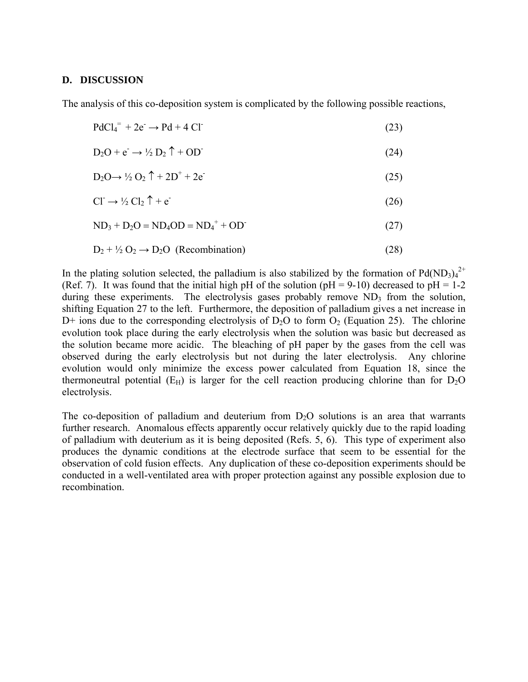#### <span id="page-28-0"></span>**D. DISCUSSION**

The analysis of this co-deposition system is complicated by the following possible reactions,

| $PdCl4= + 2e^- \rightarrow Pd + 4Cl^-$ | (23) |
|----------------------------------------|------|
|----------------------------------------|------|

$$
D_2O + e^- \rightarrow \frac{1}{2} D_2 \uparrow + OD \tag{24}
$$

$$
D_2O \rightarrow \frac{1}{2}O_2 \uparrow + 2D^+ + 2e^- \tag{25}
$$

$$
Cl^- \to \frac{1}{2}Cl_2 \uparrow + e \tag{26}
$$

 $ND_3 + D_2O = ND_4OD = ND_4^+ + OD^-$ (27)

$$
D_2 + \frac{1}{2} O_2 \rightarrow D_2 O \quad (Recommendation)
$$
 (28)

In the plating solution selected, the palladium is also stabilized by the formation of  $Pd(ND_3)_4^{2+}$ (Ref. 7). It was found that the initial high pH of the solution (pH = 9-10) decreased to pH = 1-2 during these experiments. The electrolysis gases probably remove  $ND_3$  from the solution, shifting Equation 27 to the left. Furthermore, the deposition of palladium gives a net increase in  $D+$  ions due to the corresponding electrolysis of  $D_2O$  to form  $O_2$  (Equation 25). The chlorine evolution took place during the early electrolysis when the solution was basic but decreased as the solution became more acidic. The bleaching of pH paper by the gases from the cell was observed during the early electrolysis but not during the later electrolysis. Any chlorine evolution would only minimize the excess power calculated from Equation 18, since the thermoneutral potential ( $E_H$ ) is larger for the cell reaction producing chlorine than for  $D_2O$ electrolysis.

The co-deposition of palladium and deuterium from  $D_2O$  solutions is an area that warrants further research. Anomalous effects apparently occur relatively quickly due to the rapid loading of palladium with deuterium as it is being deposited (Refs. 5, 6). This type of experiment also produces the dynamic conditions at the electrode surface that seem to be essential for the observation of cold fusion effects. Any duplication of these co-deposition experiments should be conducted in a well-ventilated area with proper protection against any possible explosion due to recombination.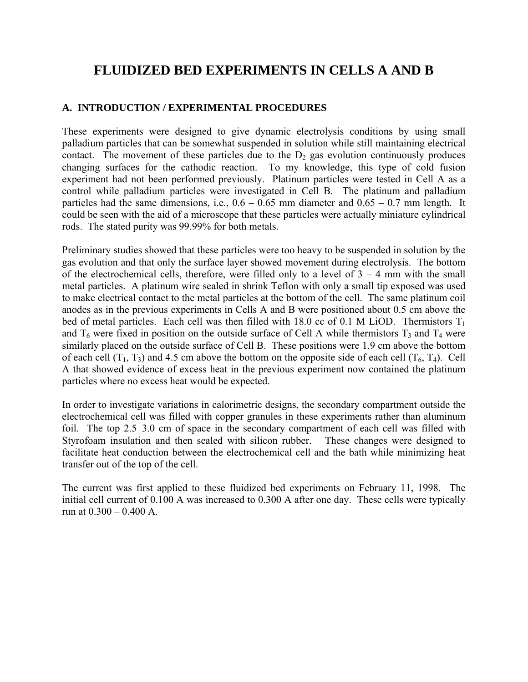## <span id="page-29-0"></span>**FLUIDIZED BED EXPERIMENTS IN CELLS A AND B**

#### **A. INTRODUCTION / EXPERIMENTAL PROCEDURES**

These experiments were designed to give dynamic electrolysis conditions by using small palladium particles that can be somewhat suspended in solution while still maintaining electrical contact. The movement of these particles due to the  $D_2$  gas evolution continuously produces changing surfaces for the cathodic reaction. To my knowledge, this type of cold fusion experiment had not been performed previously. Platinum particles were tested in Cell A as a control while palladium particles were investigated in Cell B. The platinum and palladium particles had the same dimensions, i.e.,  $0.6 - 0.65$  mm diameter and  $0.65 - 0.7$  mm length. It could be seen with the aid of a microscope that these particles were actually miniature cylindrical rods. The stated purity was 99.99% for both metals.

Preliminary studies showed that these particles were too heavy to be suspended in solution by the gas evolution and that only the surface layer showed movement during electrolysis. The bottom of the electrochemical cells, therefore, were filled only to a level of  $3 - 4$  mm with the small metal particles. A platinum wire sealed in shrink Teflon with only a small tip exposed was used to make electrical contact to the metal particles at the bottom of the cell. The same platinum coil anodes as in the previous experiments in Cells A and B were positioned about 0.5 cm above the bed of metal particles. Each cell was then filled with 18.0 cc of 0.1 M LiOD. Thermistors  $T_1$ and  $T_6$  were fixed in position on the outside surface of Cell A while thermistors  $T_3$  and  $T_4$  were similarly placed on the outside surface of Cell B. These positions were 1.9 cm above the bottom of each cell  $(T_1, T_3)$  and 4.5 cm above the bottom on the opposite side of each cell  $(T_6, T_4)$ . Cell A that showed evidence of excess heat in the previous experiment now contained the platinum particles where no excess heat would be expected.

In order to investigate variations in calorimetric designs, the secondary compartment outside the electrochemical cell was filled with copper granules in these experiments rather than aluminum foil. The top  $2.5-3.0$  cm of space in the secondary compartment of each cell was filled with Styrofoam insulation and then sealed with silicon rubber. These changes were designed to facilitate heat conduction between the electrochemical cell and the bath while minimizing heat transfer out of the top of the cell.

The current was first applied to these fluidized bed experiments on February 11, 1998. The initial cell current of 0.100 A was increased to 0.300 A after one day. These cells were typically run at  $0.300 - 0.400$  A.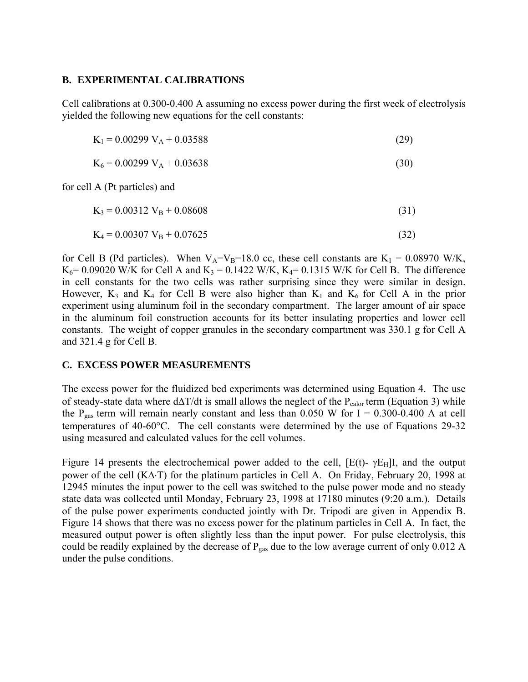#### <span id="page-30-0"></span>**B. EXPERIMENTAL CALIBRATIONS**

Cell calibrations at 0.300-0.400 A assuming no excess power during the first week of electrolysis yielded the following new equations for the cell constants:

 $K_1 = 0.00299 V_A + 0.03588$  (29)

 $K_6 = 0.00299 V_A + 0.03638$  (30)

for cell A (Pt particles) and

 $K_3 = 0.00312 V_B + 0.08608$  (31)

$$
K_4 = 0.00307 V_B + 0.07625
$$
 (32)

for Cell B (Pd particles). When  $V_A=V_B=18.0$  cc, these cell constants are  $K_1 = 0.08970$  W/K,  $K_6$  = 0.09020 W/K for Cell A and  $K_3$  = 0.1422 W/K,  $K_4$  = 0.1315 W/K for Cell B. The difference in cell constants for the two cells was rather surprising since they were similar in design. However,  $K_3$  and  $K_4$  for Cell B were also higher than  $K_1$  and  $K_6$  for Cell A in the prior experiment using aluminum foil in the secondary compartment. The larger amount of air space in the aluminum foil construction accounts for its better insulating properties and lower cell constants. The weight of copper granules in the secondary compartment was 330.1 g for Cell A and 321.4 g for Cell B.

#### **C. EXCESS POWER MEASUREMENTS**

The excess power for the fluidized bed experiments was determined using Equation 4. The use of steady-state data where d∆T/dt is small allows the neglect of the  $P_{\text{calor}}$  term (Equation 3) while the P<sub>gas</sub> term will remain nearly constant and less than 0.050 W for I = 0.300-0.400 A at cell temperatures of 40-60°C. The cell constants were determined by the use of Equations 29-32 using measured and calculated values for the cell volumes.

Figure 14 presents the electrochemical power added to the cell,  $[E(t)$ -  $\gamma E_{H}]$ I, and the output power of the cell (K∆⋅T) for the platinum particles in Cell A. On Friday, February 20, 1998 at 12945 minutes the input power to the cell was switched to the pulse power mode and no steady state data was collected until Monday, February 23, 1998 at 17180 minutes (9:20 a.m.). Details of the pulse power experiments conducted jointly with Dr. Tripodi are given in Appendix B. Figure 14 shows that there was no excess power for the platinum particles in Cell A. In fact, the measured output power is often slightly less than the input power. For pulse electrolysis, this could be readily explained by the decrease of  $P_{gas}$  due to the low average current of only 0.012 A under the pulse conditions.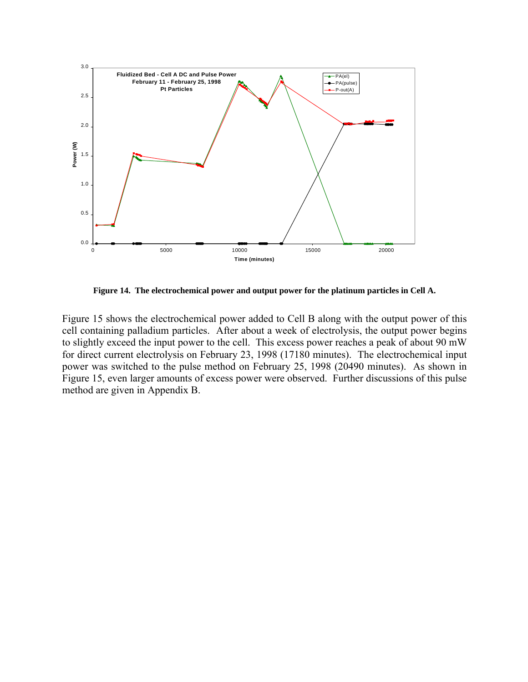<span id="page-31-0"></span>

**Figure 14. The electrochemical power and output power for the platinum particles in Cell A.** 

Figure 15 shows the electrochemical power added to Cell B along with the output power of this cell containing palladium particles. After about a week of electrolysis, the output power begins to slightly exceed the input power to the cell. This excess power reaches a peak of about 90 mW for direct current electrolysis on February 23, 1998 (17180 minutes). The electrochemical input power was switched to the pulse method on February 25, 1998 (20490 minutes). As shown in Figure 15, even larger amounts of excess power were observed. Further discussions of this pulse method are given in Appendix B.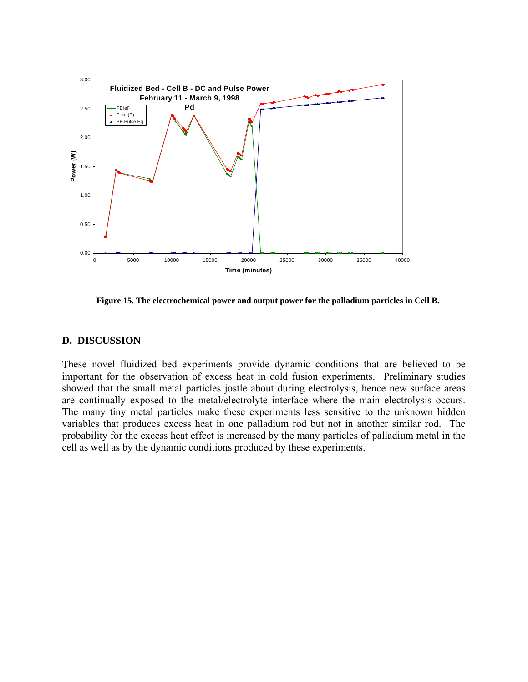<span id="page-32-0"></span>

**Figure 15. The electrochemical power and output power for the palladium particles in Cell B.** 

#### **. DISCUSSION D**

These novel fluidized bed experiments provide dynamic conditions that are believed to be important for the observation of excess heat in cold fusion experiments. Preliminary studies showed that the small metal particles jostle about during electrolysis, hence new surface areas are continually exposed to the metal/electrolyte interface where the main electrolysis occurs. The many tiny metal particles make these experiments less sensitive to the unknown hidden variables that produces excess heat in one palladium rod but not in another similar rod. The probability for the excess heat effect is increased by the many particles of palladium metal in the cell as well as by the dynamic conditions produced by these experiments.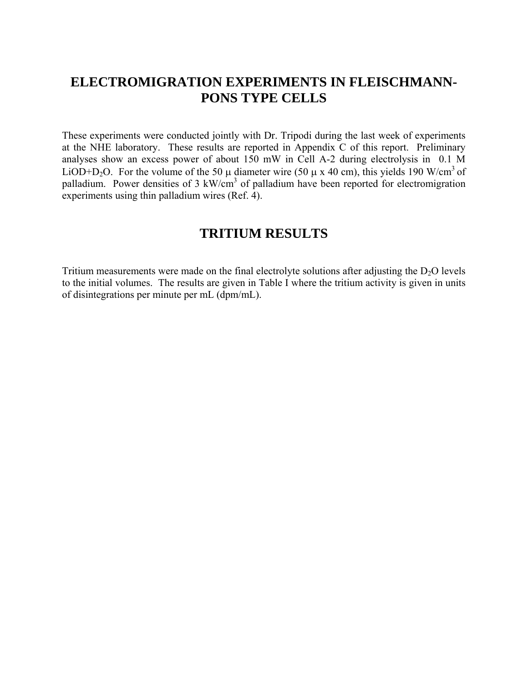## <span id="page-33-0"></span>**ELECTROMIGRATION EXPERIMENTS IN FLEISCHMANN-PONS TYPE CELLS**

These experiments were conducted jointly with Dr. Tripodi during the last week of experiments at the NHE laboratory. These results are reported in Appendix C of this report. Preliminary analyses show an excess power of about 150 mW in Cell A-2 during electrolysis in 0.1 M LiOD+D<sub>2</sub>O. For the volume of the 50  $\mu$  diameter wire (50  $\mu$  x 40 cm), this yields 190 W/cm<sup>3</sup> of palladium. Power densities of 3 kW/cm<sup>3</sup> of palladium have been reported for electromigration experiments using thin palladium wires (Ref. 4).

## **TRITIUM RESULTS**

Tritium measurements were made on the final electrolyte solutions after adjusting the  $D_2O$  levels to the initial volumes. The results are given in Table I where the tritium activity is given in units of disintegrations per minute per mL (dpm/mL).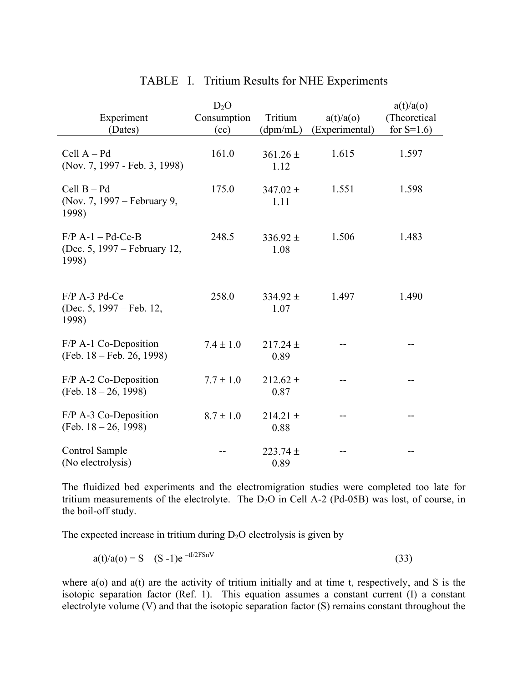|                                                              | $D_2O$        |                      |                | a(t)/a(o)     |
|--------------------------------------------------------------|---------------|----------------------|----------------|---------------|
| Experiment                                                   | Consumption   | Tritium              | a(t)/a(o)      | (Theoretical  |
| (Dates)                                                      | (cc)          | (dpm/mL)             | (Experimental) | for $S=1.6$ ) |
|                                                              |               |                      |                |               |
| Cell $A - Pd$<br>(Nov. 7, 1997 - Feb. 3, 1998)               | 161.0         | $361.26 \pm$<br>1.12 | 1.615          | 1.597         |
| $Cell B - Pd$<br>(Nov. 7, 1997 – February 9,<br>1998)        | 175.0         | 347.02 $\pm$<br>1.11 | 1.551          | 1.598         |
| $F/P$ A-1 – Pd-Ce-B<br>(Dec. 5, 1997 – February 12,<br>1998) | 248.5         | $336.92 \pm$<br>1.08 | 1.506          | 1.483         |
| $F/P$ A-3 Pd-Ce<br>(Dec. 5, 1997 – Feb. 12,<br>1998)         | 258.0         | $334.92 \pm$<br>1.07 | 1.497          | 1.490         |
| $F/P$ A-1 Co-Deposition<br>(Feb. 18 – Feb. 26, 1998)         | $7.4 \pm 1.0$ | $217.24 \pm$<br>0.89 |                |               |
| $F/P$ A-2 Co-Deposition<br>(Feb. $18 - 26$ , 1998)           | $7.7 \pm 1.0$ | $212.62 \pm$<br>0.87 |                |               |
| $F/P$ A-3 Co-Deposition<br>(Feb. $18 - 26$ , 1998)           | $8.7 \pm 1.0$ | $214.21 \pm$<br>0.88 |                |               |
| Control Sample<br>(No electrolysis)                          |               | $223.74 \pm$<br>0.89 |                | --            |

#### TABLE I. Tritium Results for NHE Experiments

The fluidized bed experiments and the electromigration studies were completed too late for tritium measurements of the electrolyte. The  $D_2O$  in Cell A-2 (Pd-05B) was lost, of course, in the boil-off study.

The expected increase in tritium during  $D_2O$  electrolysis is given by

$$
a(t)/a(0) = S - (S - 1)e^{-tI/2FSnV}
$$
\n(33)

where a(o) and a(t) are the activity of tritium initially and at time t, respectively, and S is the isotopic separation factor (Ref. 1). This equation assumes a constant current (I) a constant electrolyte volume (V) and that the isotopic separation factor (S) remains constant throughout the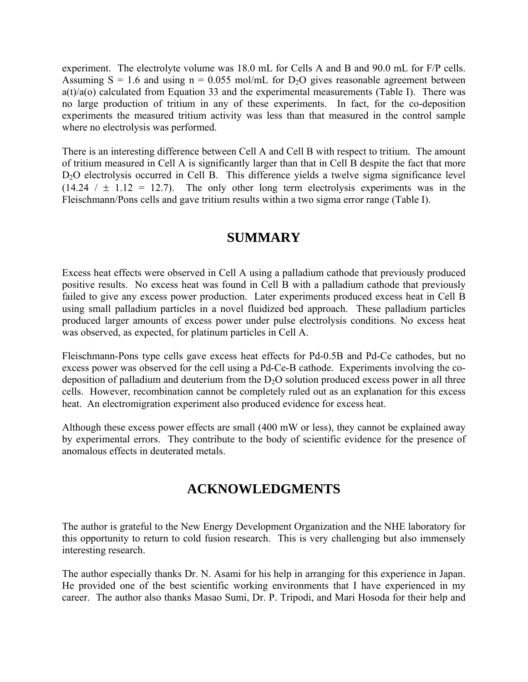<span id="page-35-0"></span>experiment. The electrolyte volume was 18.0 mL for Cells A and B and 90.0 mL for F/P cells. Assuming  $S = 1.6$  and using  $n = 0.055$  mol/mL for  $D_2O$  gives reasonable agreement between  $a(t)/a(o)$  calculated from Equation 33 and the experimental measurements (Table I). There was no large production of tritium in any of these experiments. In fact, for the co-deposition experiments the measured tritium activity was less than that measured in the control sample where no electrolysis was performed.

There is an interesting difference between Cell A and Cell B with respect to tritium. The amount of tritium measured in Cell A is significantly larger than that in Cell B despite the fact that more D<sub>2</sub>O electrolysis occurred in Cell B. This difference yields a twelve sigma significance level  $(14.24 / \pm 1.12 = 12.7)$ . The only other long term electrolysis experiments was in the Fleischmann/Pons cells and gave tritium results within a two sigma error range (Table I).

## **SUMMARY**

Excess heat effects were observed in Cell A using a palladium cathode that previously produced positive results. No excess heat was found in Cell B with a palladium cathode that previously failed to give any excess power production. Later experiments produced excess heat in Cell B using small palladium particles in a novel fluidized bed approach. These palladium particles produced larger amounts of excess power under pulse electrolysis conditions. No excess heat was observed, as expected, for platinum particles in Cell A.

Fleischmann-Pons type cells gave excess heat effects for Pd-0.5B and Pd-Ce cathodes, but no excess power was observed for the cell using a Pd-Ce-B cathode. Experiments involving the codeposition of palladium and deuterium from the  $D<sub>2</sub>O$  solution produced excess power in all three cells. However, recombination cannot be completely ruled out as an explanation for this excess heat. An electromigration experiment also produced evidence for excess heat.

Although these excess power effects are small (400 mW or less), they cannot be explained away by experimental errors. They contribute to the body of scientific evidence for the presence of anomalous effects in deuterated metals.

## **ACKNOWLEDGMENTS**

The author is grateful to the New Energy Development Organization and the NHE laboratory for this opportunity to return to cold fusion research. This is very challenging but also immensely interesting research.

The author especially thanks Dr. N. Asami for his help in arranging for this experience in Japan. He provided one of the best scientific working environments that I have experienced in my career. The author also thanks Masao Sumi, Dr. P. Tripodi, and Mari Hosoda for their help and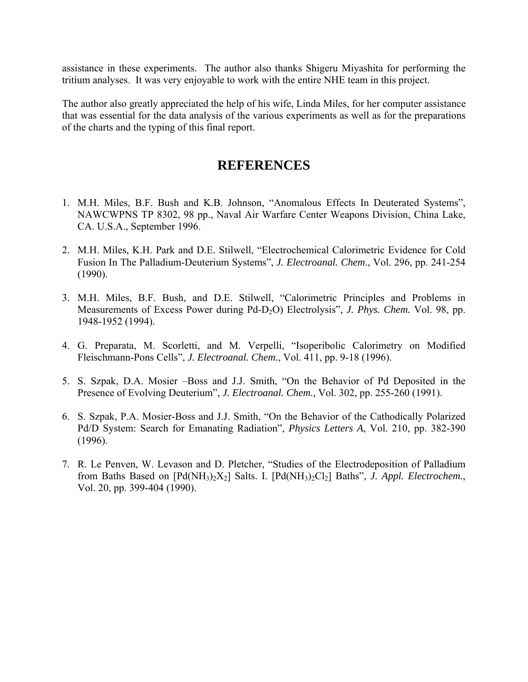<span id="page-36-0"></span>assistance in these experiments. The author also thanks Shigeru Miyashita for performing the tritium analyses. It was very enjoyable to work with the entire NHE team in this project.

The author also greatly appreciated the help of his wife, Linda Miles, for her computer assistance that was essential for the data analysis of the various experiments as well as for the preparations of the charts and the typing of this final report.

## **REFERENCES**

- 1. M.H. Miles, B.F. Bush and K.B. Johnson, "Anomalous Effects In Deuterated Systems", NAWCWPNS TP 8302, 98 pp., Naval Air Warfare Center Weapons Division, China Lake, CA. U.S.A., September 1996.
- 2. M.H. Miles, K.H. Park and D.E. Stilwell, "Electrochemical Calorimetric Evidence for Cold Fusion In The Palladium-Deuterium Systems", *J. Electroanal. Chem.*, Vol. 296, pp. 241-254 (1990).
- 3. M.H. Miles, B.F. Bush, and D.E. Stilwell, "Calorimetric Principles and Problems in Measurements of Excess Power during Pd-D<sub>2</sub>O) Electrolysis<sup>"</sup>, *J. Phys. Chem.* Vol. 98, pp. 1948-1952 (1994).
- 4. G. Preparata, M. Scorletti, and M. Verpelli, "Isoperibolic Calorimetry on Modified Fleischmann-Pons Cellsî, *J. Electroanal. Chem.*, Vol. 411, pp. 9-18 (1996).
- 5. S. Szpak, D.A. Mosier –Boss and J.J. Smith, "On the Behavior of Pd Deposited in the Presence of Evolving Deuterium", *J. Electroanal. Chem.*, Vol. 302, pp. 255-260 (1991).
- 6. S. Szpak, P.A. Mosier-Boss and J.J. Smith, "On the Behavior of the Cathodically Polarized Pd/D System: Search for Emanating Radiation<sup>"</sup>, *Physics Letters A*, Vol. 210, pp. 382-390 (1996).
- 7. R. Le Penven, W. Levason and D. Pletcher, "Studies of the Electrodeposition of Palladium from Baths Based on  $[Pd(NH_3)_2X_2]$  Salts. I.  $[Pd(NH_3)_2Cl_2]$  Baths", *J. Appl. Electrochem.*, Vol. 20, pp. 399-404 (1990).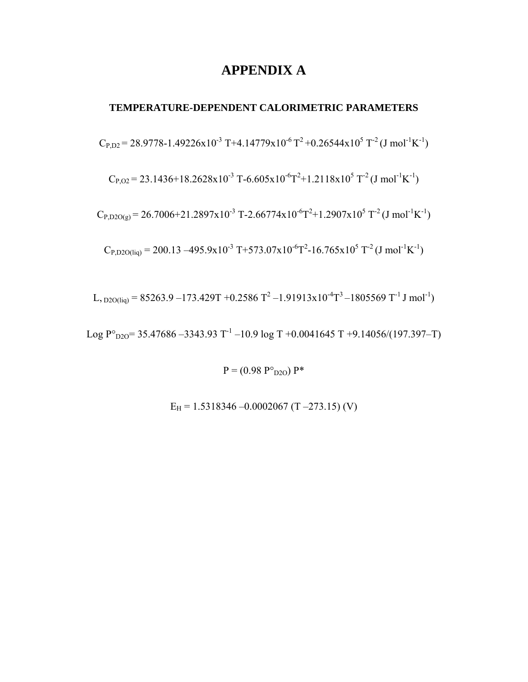## **APPENDIX A**

#### <span id="page-37-0"></span>**TEMPERATURE-DEPENDENT CALORIMETRIC PARAMETERS**

 $C_{P,D2}$  = 28.9778-1.49226x10<sup>-3</sup> T+4.14779x10<sup>-6</sup> T<sup>2</sup> +0.26544x10<sup>5</sup> T<sup>-2</sup> (J mol<sup>-1</sup>K<sup>-1</sup>)

 $C_{P,02}$  = 23.1436+18.2628x10<sup>-3</sup> T-6.605x10<sup>-6</sup>T<sup>2</sup>+1.2118x10<sup>5</sup> T<sup>-2</sup> (J mol<sup>-1</sup>K<sup>-1</sup>)

 $C_{P,D2O(g)}$  = 26.7006+21.2897x10<sup>-3</sup> T-2.66774x10<sup>-6</sup>T<sup>2</sup>+1.2907x10<sup>5</sup> T<sup>-2</sup>(J mol<sup>-1</sup>K<sup>-1</sup>)

 $C_{P, D2O(iq)} = 200.13 - 495.9 \times 10^{-3} \text{ T} + 573.07 \times 10^{-6} \text{T}^2 - 16.765 \times 10^{5} \text{ T}^{-2} \text{ (J mol}^{-1} \text{K}^{-1})$ 

L,  $_{D2O(liq)}$  = 85263.9 –173.429T +0.2586 T<sup>2</sup> –1.91913x10<sup>-4</sup>T<sup>3</sup> –1805569 T<sup>-1</sup> J mol<sup>-1</sup>)

Log  $P^{\circ}$ <sub>D2O</sub>= 35.47686 -3343.93 T<sup>-1</sup> -10.9 log T +0.0041645 T +9.14056/(197.397-T)

 $P = (0.98 P^{\circ}_{D2O}) P^*$ 

 $E_H = 1.5318346 - 0.0002067$  (T  $-273.15$ ) (V)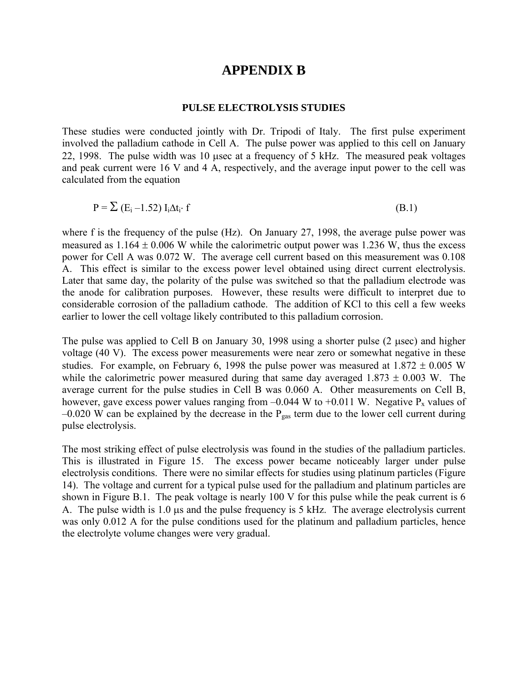### **APPENDIX B**

#### **PULSE ELECTROLYSIS STUDIES**

<span id="page-38-0"></span>These studies were conducted jointly with Dr. Tripodi of Italy. The first pulse experiment involved the palladium cathode in Cell A. The pulse power was applied to this cell on January 22, 1998. The pulse width was 10 µsec at a frequency of 5 kHz. The measured peak voltages and peak current were 16 V and 4 A, respectively, and the average input power to the cell was calculated from the equation

$$
P = \sum (E_i - 1.52) I_i \Delta t_i \cdot f \tag{B.1}
$$

where f is the frequency of the pulse (Hz). On January 27, 1998, the average pulse power was measured as  $1.164 \pm 0.006$  W while the calorimetric output power was 1.236 W, thus the excess power for Cell A was 0.072 W. The average cell current based on this measurement was 0.108 A. This effect is similar to the excess power level obtained using direct current electrolysis. Later that same day, the polarity of the pulse was switched so that the palladium electrode was the anode for calibration purposes. However, these results were difficult to interpret due to considerable corrosion of the palladium cathode. The addition of KCl to this cell a few weeks earlier to lower the cell voltage likely contributed to this palladium corrosion.

The pulse was applied to Cell B on January 30, 1998 using a shorter pulse (2 µsec) and higher voltage (40 V). The excess power measurements were near zero or somewhat negative in these studies. For example, on February 6, 1998 the pulse power was measured at  $1.872 \pm 0.005$  W while the calorimetric power measured during that same day averaged  $1.873 \pm 0.003$  W. The average current for the pulse studies in Cell B was 0.060 A. Other measurements on Cell B, however, gave excess power values ranging from  $-0.044$  W to  $+0.011$  W. Negative P<sub>x</sub> values of  $-0.020$  W can be explained by the decrease in the P<sub>gas</sub> term due to the lower cell current during pulse electrolysis.

The most striking effect of pulse electrolysis was found in the studies of the palladium particles. This is illustrated in Figure 15. The excess power became noticeably larger under pulse electrolysis conditions. There were no similar effects for studies using platinum particles (Figure 14). The voltage and current for a typical pulse used for the palladium and platinum particles are shown in Figure B.1. The peak voltage is nearly 100 V for this pulse while the peak current is 6 A. The pulse width is 1.0  $\mu$ s and the pulse frequency is 5 kHz. The average electrolysis current was only 0.012 A for the pulse conditions used for the platinum and palladium particles, hence the electrolyte volume changes were very gradual.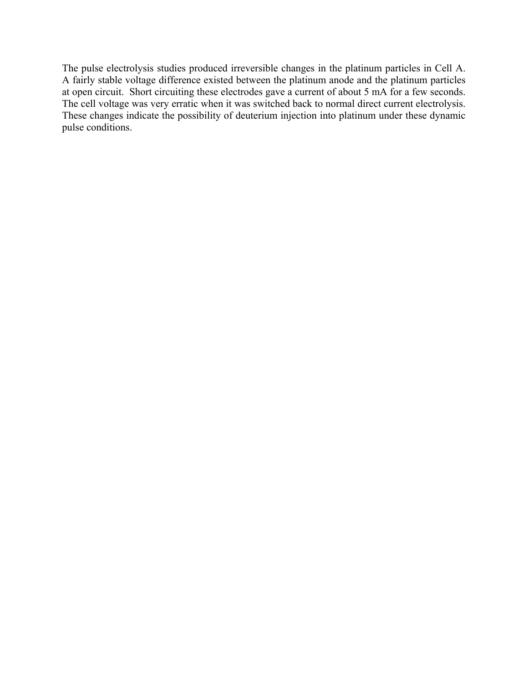The pulse electrolysis studies produced irreversible changes in the platinum particles in Cell A. A fairly stable voltage difference existed between the platinum anode and the platinum particles at open circuit. Short circuiting these electrodes gave a current of about 5 mA for a few seconds. The cell voltage was very erratic when it was switched back to normal direct current electrolysis. These changes indicate the possibility of deuterium injection into platinum under these dynamic pulse conditions.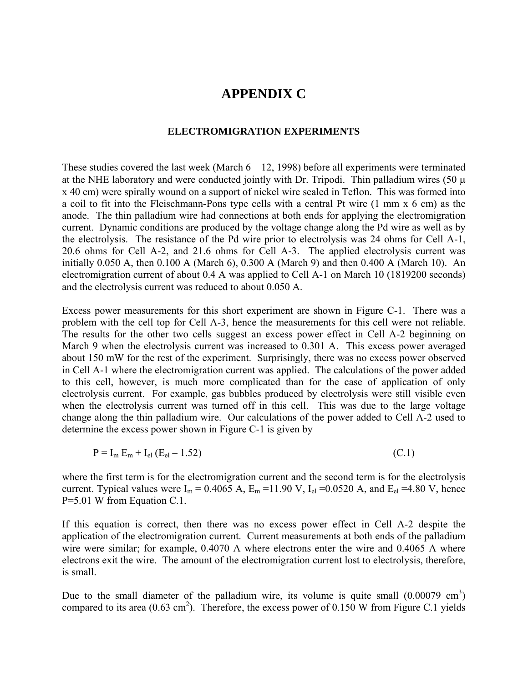### **APPENDIX C**

#### **ELECTROMIGRATION EXPERIMENTS**

<span id="page-40-0"></span>These studies covered the last week (March  $6 - 12$ , 1998) before all experiments were terminated at the NHE laboratory and were conducted jointly with Dr. Tripodi. Thin palladium wires  $(50 \mu)$ x 40 cm) were spirally wound on a support of nickel wire sealed in Teflon. This was formed into a coil to fit into the Fleischmann-Pons type cells with a central Pt wire (1 mm x 6 cm) as the anode. The thin palladium wire had connections at both ends for applying the electromigration current. Dynamic conditions are produced by the voltage change along the Pd wire as well as by the electrolysis. The resistance of the Pd wire prior to electrolysis was 24 ohms for Cell A-1, 20.6 ohms for Cell A-2, and 21.6 ohms for Cell A-3. The applied electrolysis current was initially 0.050 A, then 0.100 A (March 6), 0.300 A (March 9) and then 0.400 A (March 10). An electromigration current of about 0.4 A was applied to Cell A-1 on March 10 (1819200 seconds) and the electrolysis current was reduced to about 0.050 A.

Excess power measurements for this short experiment are shown in Figure C-1. There was a problem with the cell top for Cell A-3, hence the measurements for this cell were not reliable. The results for the other two cells suggest an excess power effect in Cell A-2 beginning on March 9 when the electrolysis current was increased to 0.301 A. This excess power averaged about 150 mW for the rest of the experiment. Surprisingly, there was no excess power observed in Cell A-1 where the electromigration current was applied. The calculations of the power added to this cell, however, is much more complicated than for the case of application of only electrolysis current. For example, gas bubbles produced by electrolysis were still visible even when the electrolysis current was turned off in this cell. This was due to the large voltage change along the thin palladium wire. Our calculations of the power added to Cell A-2 used to determine the excess power shown in Figure C-1 is given by

$$
P = I_m E_m + I_{el} (E_{el} - 1.52)
$$
 (C.1)

where the first term is for the electromigration current and the second term is for the electrolysis current. Typical values were  $I_m = 0.4065$  A,  $E_m = 11.90$  V,  $I_{el} = 0.0520$  A, and  $E_{el} = 4.80$  V, hence P=5.01 W from Equation C.1.

If this equation is correct, then there was no excess power effect in Cell A-2 despite the application of the electromigration current. Current measurements at both ends of the palladium wire were similar; for example, 0.4070 A where electrons enter the wire and 0.4065 A where electrons exit the wire. The amount of the electromigration current lost to electrolysis, therefore, is small.

Due to the small diameter of the palladium wire, its volume is quite small  $(0.00079 \text{ cm}^3)$ compared to its area  $(0.63 \text{ cm}^2)$ . Therefore, the excess power of 0.150 W from Figure C.1 yields